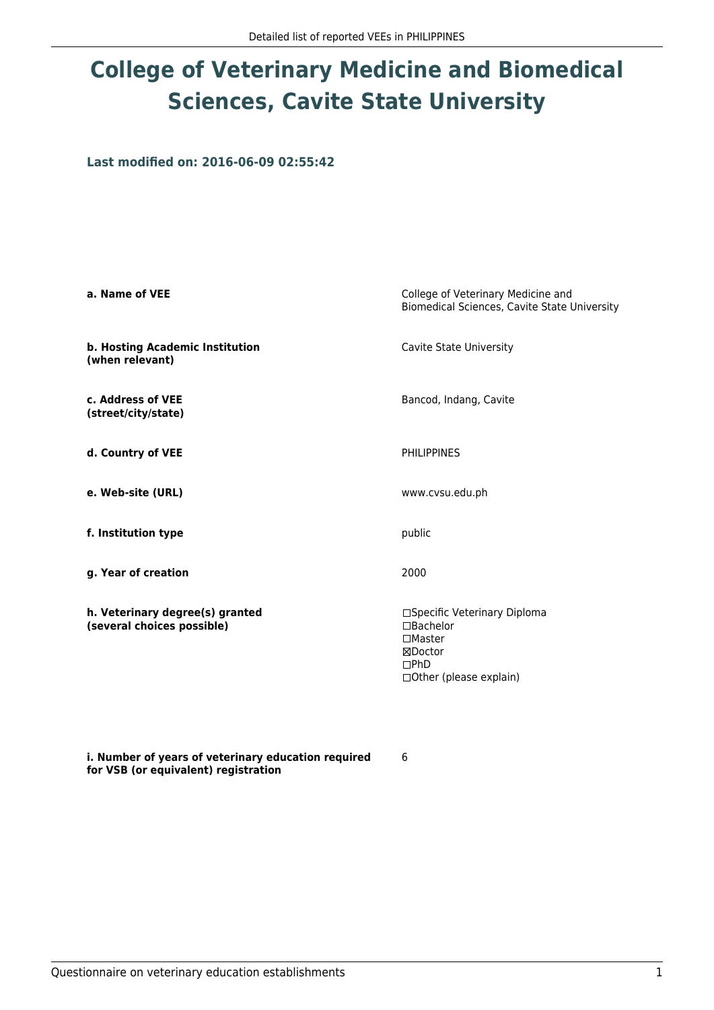## **College of Veterinary Medicine and Biomedical Sciences, Cavite State University**

**Last modified on: 2016-06-09 02:55:42**

| a. Name of VEE                                                | College of Veterinary Medicine and<br>Biomedical Sciences, Cavite State University                                          |
|---------------------------------------------------------------|-----------------------------------------------------------------------------------------------------------------------------|
| b. Hosting Academic Institution<br>(when relevant)            | Cavite State University                                                                                                     |
| c. Address of VEE<br>(street/city/state)                      | Bancod, Indang, Cavite                                                                                                      |
| d. Country of VEE                                             | <b>PHILIPPINES</b>                                                                                                          |
| e. Web-site (URL)                                             | www.cvsu.edu.ph                                                                                                             |
| f. Institution type                                           | public                                                                                                                      |
| g. Year of creation                                           | 2000                                                                                                                        |
| h. Veterinary degree(s) granted<br>(several choices possible) | □Specific Veterinary Diploma<br>$\Box$ Bachelor<br>$\square$ Master<br>⊠Doctor<br>$\square$ PhD<br>□ Other (please explain) |

6

**i. Number of years of veterinary education required for VSB (or equivalent) registration**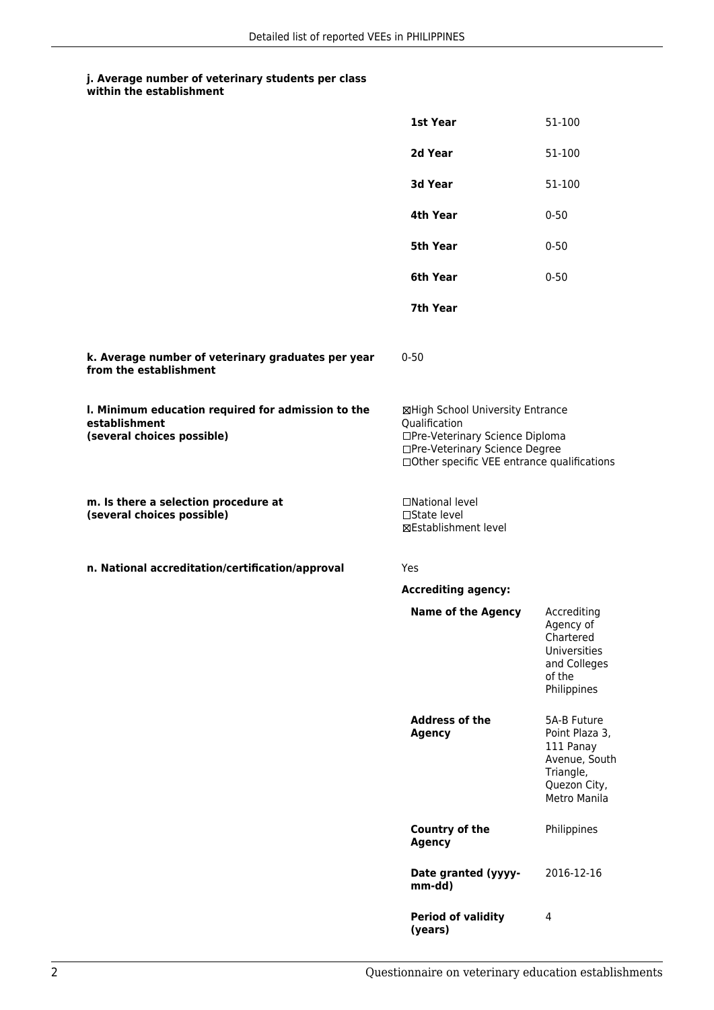|  | within the establishment |  |  |  |  |
|--|--------------------------|--|--|--|--|
|--|--------------------------|--|--|--|--|

|                                                                                                   | 1st Year                                                                                                                                                              | 51-100                                                                                                   |
|---------------------------------------------------------------------------------------------------|-----------------------------------------------------------------------------------------------------------------------------------------------------------------------|----------------------------------------------------------------------------------------------------------|
|                                                                                                   | 2d Year                                                                                                                                                               | 51-100                                                                                                   |
|                                                                                                   | 3d Year                                                                                                                                                               | 51-100                                                                                                   |
|                                                                                                   | 4th Year                                                                                                                                                              | $0 - 50$                                                                                                 |
|                                                                                                   | <b>5th Year</b>                                                                                                                                                       | $0 - 50$                                                                                                 |
|                                                                                                   | 6th Year                                                                                                                                                              | $0 - 50$                                                                                                 |
|                                                                                                   | 7th Year                                                                                                                                                              |                                                                                                          |
| k. Average number of veterinary graduates per year<br>from the establishment                      | $0 - 50$                                                                                                                                                              |                                                                                                          |
| I. Minimum education required for admission to the<br>establishment<br>(several choices possible) | ⊠High School University Entrance<br>Qualification<br>□Pre-Veterinary Science Diploma<br>□Pre-Veterinary Science Degree<br>□Other specific VEE entrance qualifications |                                                                                                          |
| m. Is there a selection procedure at<br>(several choices possible)                                | □National level<br>$\Box$ State level<br>⊠Establishment level                                                                                                         |                                                                                                          |
| n. National accreditation/certification/approval                                                  | Yes                                                                                                                                                                   |                                                                                                          |
|                                                                                                   | <b>Accrediting agency:</b>                                                                                                                                            |                                                                                                          |
|                                                                                                   | <b>Name of the Agency</b>                                                                                                                                             | Accrediting<br>Agency of<br>Chartered<br><b>Universities</b><br>and Colleges<br>of the<br>Philippines    |
|                                                                                                   | <b>Address of the</b><br><b>Agency</b>                                                                                                                                | 5A-B Future<br>Point Plaza 3,<br>111 Panay<br>Avenue, South<br>Triangle,<br>Quezon City,<br>Metro Manila |
|                                                                                                   | <b>Country of the</b><br><b>Agency</b>                                                                                                                                | Philippines                                                                                              |
|                                                                                                   | Date granted (yyyy-<br>mm-dd)                                                                                                                                         | 2016-12-16                                                                                               |
|                                                                                                   | <b>Period of validity</b><br>(years)                                                                                                                                  | 4                                                                                                        |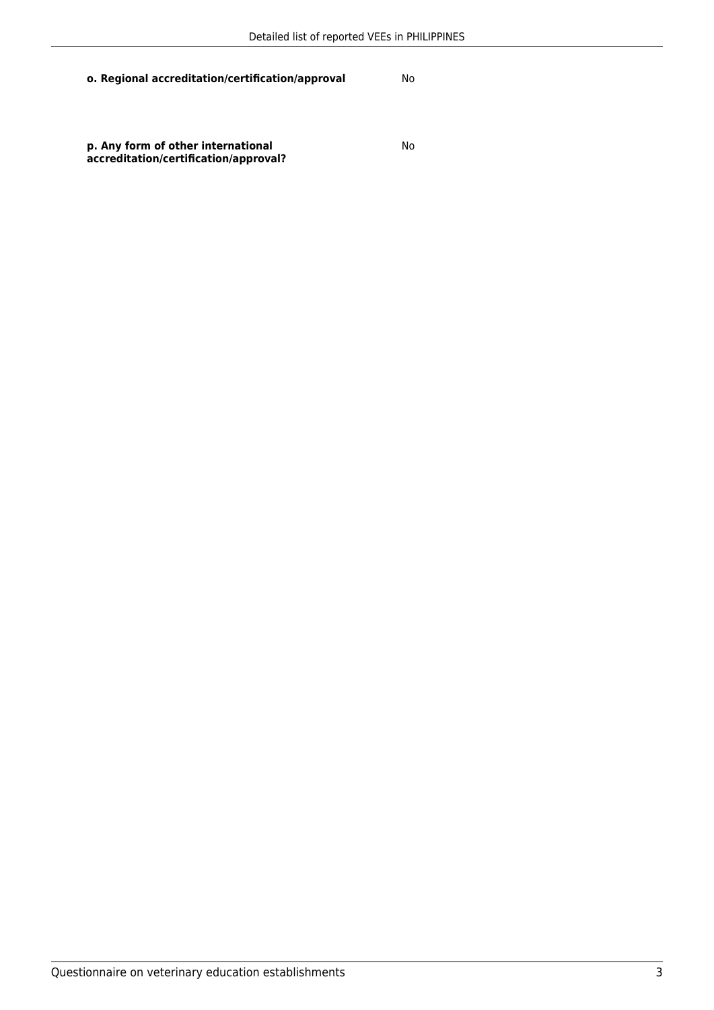**o. Regional accreditation/certification/approval** No

**p. Any form of other international accreditation/certification/approval?**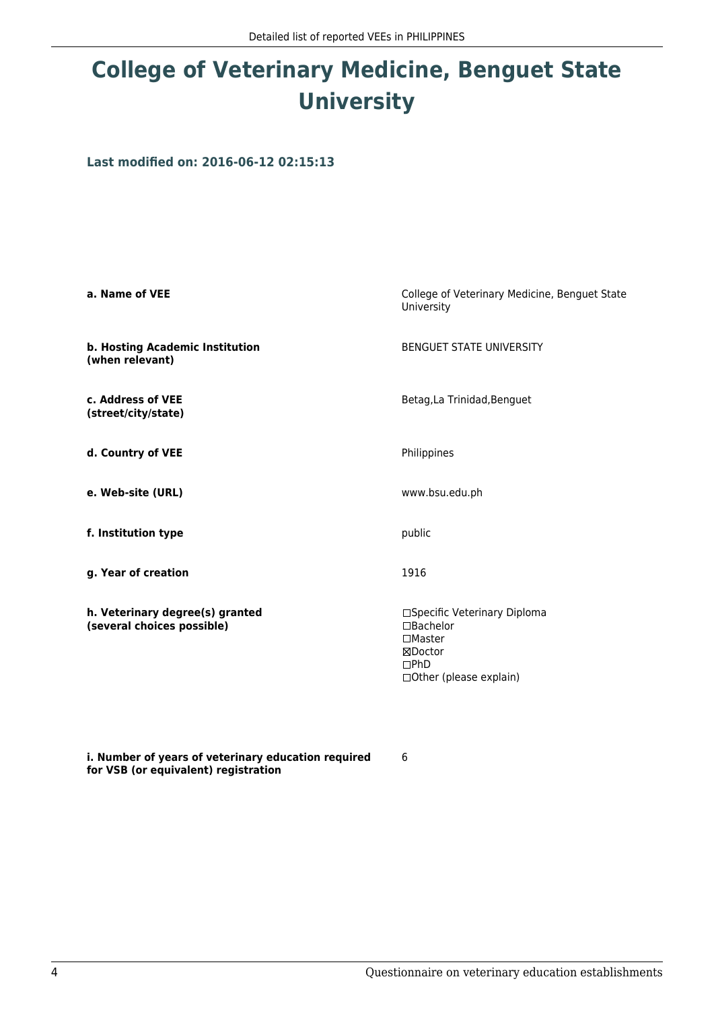## **College of Veterinary Medicine, Benguet State University**

**Last modified on: 2016-06-12 02:15:13**

| a. Name of VEE                                                | College of Veterinary Medicine, Benguet State<br>University                                                    |
|---------------------------------------------------------------|----------------------------------------------------------------------------------------------------------------|
| b. Hosting Academic Institution<br>(when relevant)            | <b>BENGUET STATE UNIVERSITY</b>                                                                                |
| c. Address of VEE<br>(street/city/state)                      | Betag, La Trinidad, Benguet                                                                                    |
| d. Country of VEE                                             | Philippines                                                                                                    |
| e. Web-site (URL)                                             | www.bsu.edu.ph                                                                                                 |
| f. Institution type                                           | public                                                                                                         |
| g. Year of creation                                           | 1916                                                                                                           |
| h. Veterinary degree(s) granted<br>(several choices possible) | □Specific Veterinary Diploma<br>□Bachelor<br>$\Box$ Master<br>⊠Doctor<br>$\Box$ PhD<br>□Other (please explain) |

**i. Number of years of veterinary education required for VSB (or equivalent) registration**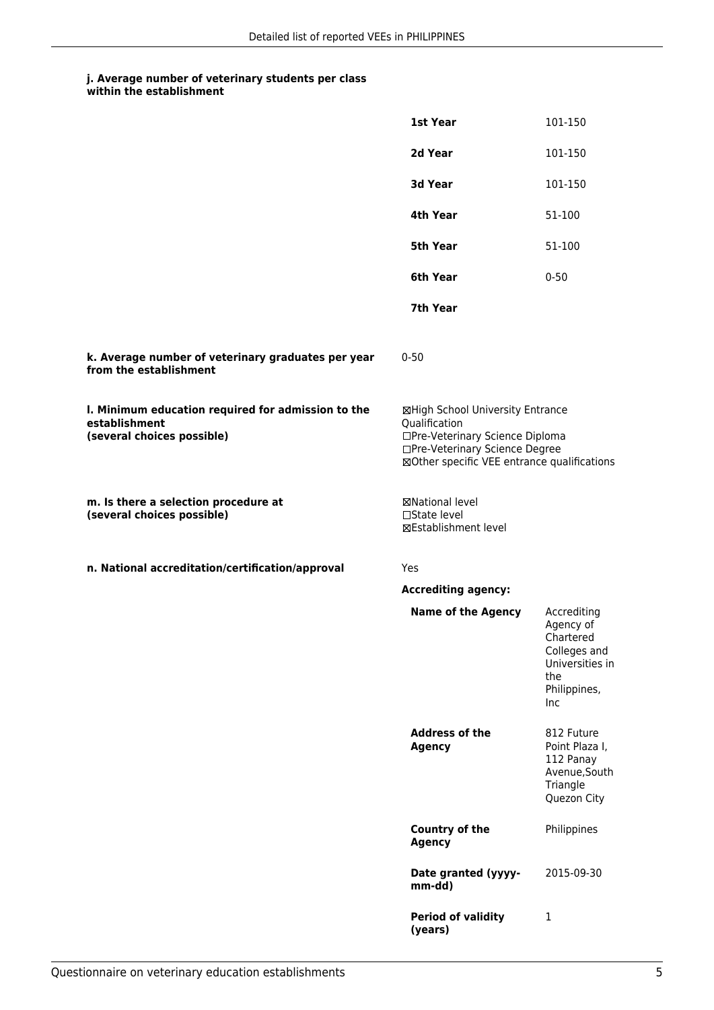|                                                                                                   | 1st Year                                                                                                                                                              | 101-150                                                                                                |
|---------------------------------------------------------------------------------------------------|-----------------------------------------------------------------------------------------------------------------------------------------------------------------------|--------------------------------------------------------------------------------------------------------|
|                                                                                                   | 2d Year                                                                                                                                                               | 101-150                                                                                                |
|                                                                                                   | 3d Year                                                                                                                                                               | 101-150                                                                                                |
|                                                                                                   | 4th Year                                                                                                                                                              | 51-100                                                                                                 |
|                                                                                                   | 5th Year                                                                                                                                                              | 51-100                                                                                                 |
|                                                                                                   | 6th Year                                                                                                                                                              | $0 - 50$                                                                                               |
|                                                                                                   | 7th Year                                                                                                                                                              |                                                                                                        |
| k. Average number of veterinary graduates per year<br>from the establishment                      | 0-50                                                                                                                                                                  |                                                                                                        |
| I. Minimum education required for admission to the<br>establishment<br>(several choices possible) | ⊠High School University Entrance<br>Qualification<br>□Pre-Veterinary Science Diploma<br>□Pre-Veterinary Science Degree<br>⊠Other specific VEE entrance qualifications |                                                                                                        |
| m. Is there a selection procedure at<br>(several choices possible)                                | ⊠National level<br>□State level<br><b>⊠Establishment level</b>                                                                                                        |                                                                                                        |
| n. National accreditation/certification/approval                                                  | <b>Yes</b>                                                                                                                                                            |                                                                                                        |
|                                                                                                   | <b>Accrediting agency:</b>                                                                                                                                            |                                                                                                        |
|                                                                                                   | <b>Name of the Agency</b>                                                                                                                                             | Accrediting<br>Agency of<br>Chartered<br>Colleges and<br>Universities in<br>the<br>Philippines,<br>Inc |
|                                                                                                   | <b>Address of the</b><br><b>Agency</b>                                                                                                                                | 812 Future<br>Point Plaza I,<br>112 Panay<br>Avenue, South<br>Triangle<br>Quezon City                  |
|                                                                                                   | <b>Country of the</b><br><b>Agency</b>                                                                                                                                | Philippines                                                                                            |
|                                                                                                   | Date granted (yyyy-<br>mm-dd)                                                                                                                                         | 2015-09-30                                                                                             |
|                                                                                                   | <b>Period of validity</b><br>(years)                                                                                                                                  | 1                                                                                                      |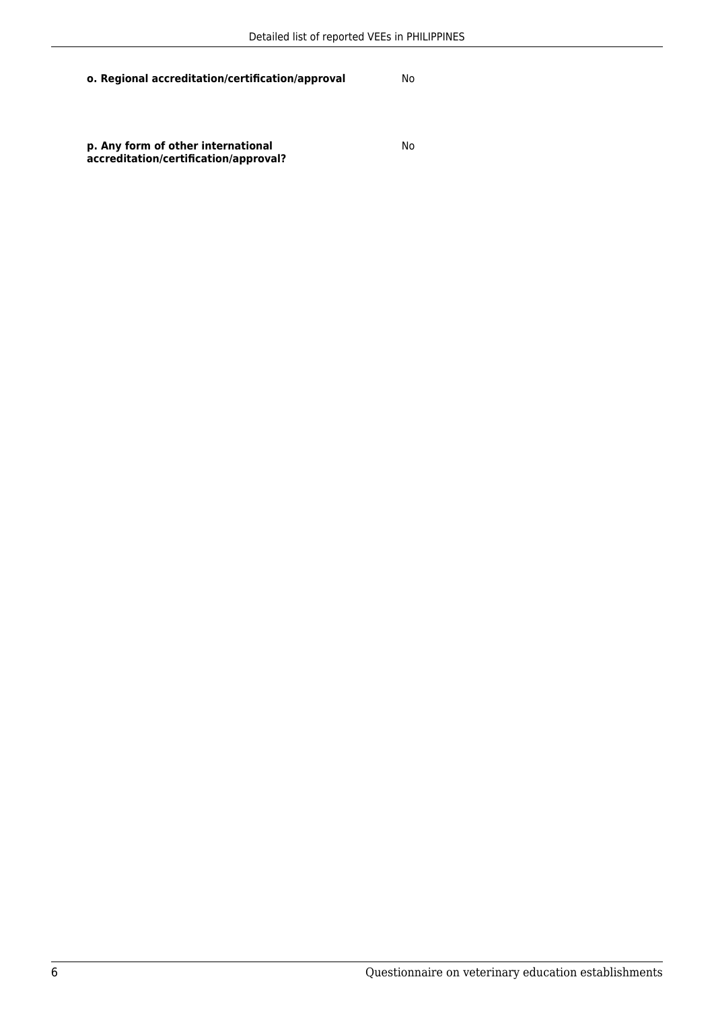**o. Regional accreditation/certification/approval** No

No

**p. Any form of other international accreditation/certification/approval?**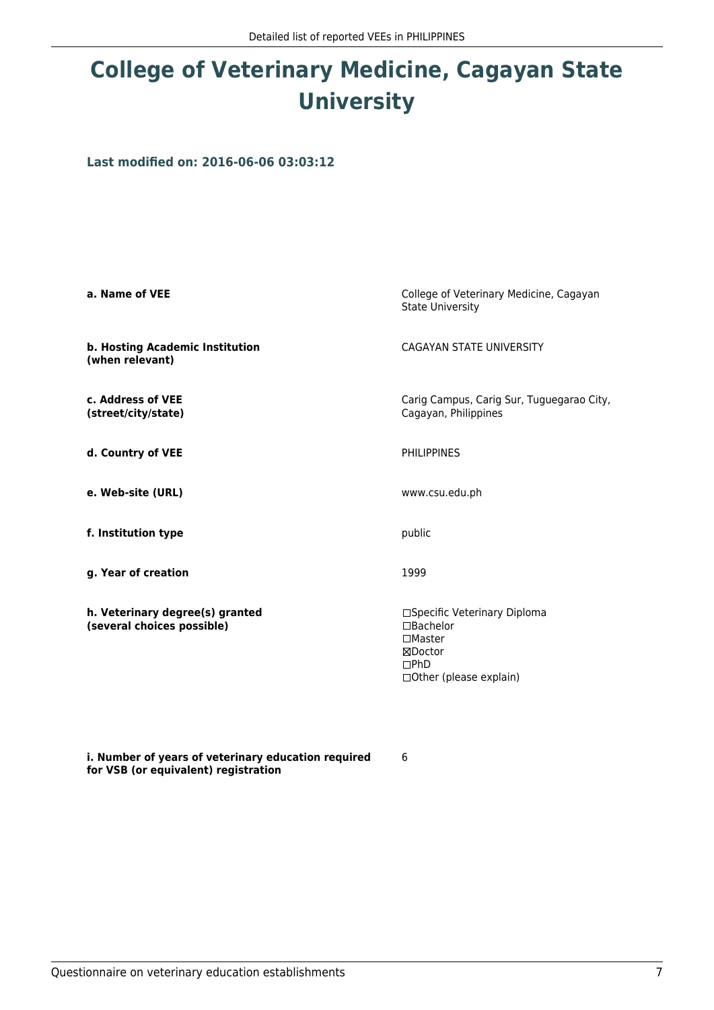## **College of Veterinary Medicine, Cagayan State University**

**Last modified on: 2016-06-06 03:03:12**

| a. Name of VEE                                                | College of Veterinary Medicine, Cagayan<br><b>State University</b>                                                       |
|---------------------------------------------------------------|--------------------------------------------------------------------------------------------------------------------------|
| b. Hosting Academic Institution<br>(when relevant)            | CAGAYAN STATE UNIVERSITY                                                                                                 |
| c. Address of VEE<br>(street/city/state)                      | Carig Campus, Carig Sur, Tuguegarao City,<br>Cagayan, Philippines                                                        |
| d. Country of VEE                                             | <b>PHILIPPINES</b>                                                                                                       |
| e. Web-site (URL)                                             | www.csu.edu.ph                                                                                                           |
| f. Institution type                                           | public                                                                                                                   |
| g. Year of creation                                           | 1999                                                                                                                     |
| h. Veterinary degree(s) granted<br>(several choices possible) | □Specific Veterinary Diploma<br>$\Box$ Bachelor<br>$\square$ Master<br>⊠Doctor<br>$\Box$ PhD<br>□ Other (please explain) |

6

**i. Number of years of veterinary education required for VSB (or equivalent) registration**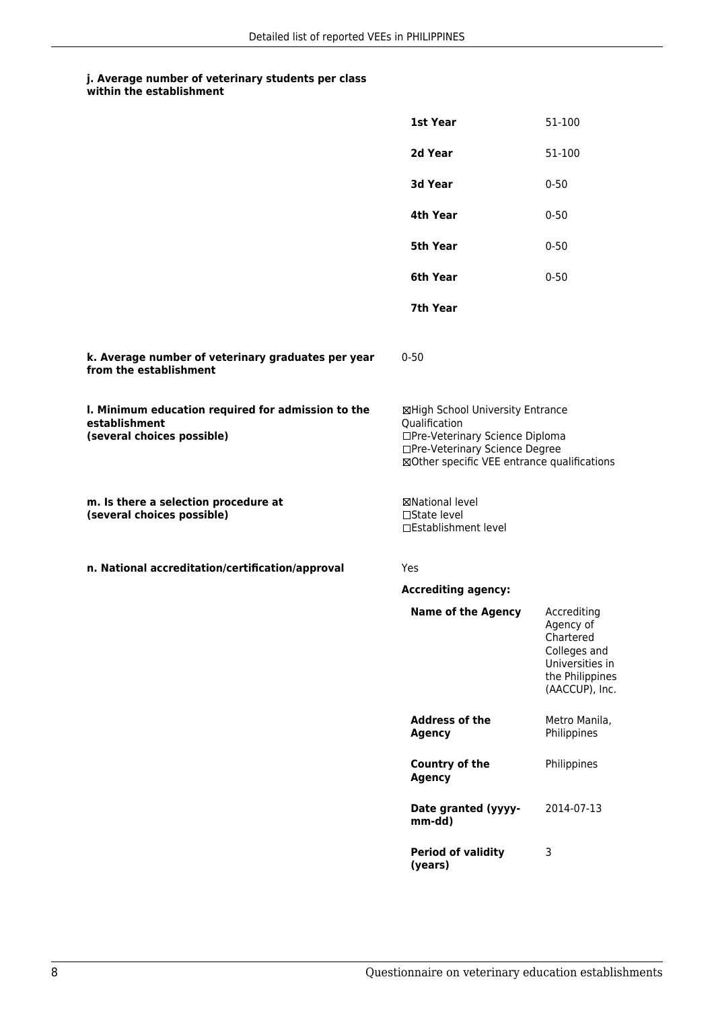|  | within the establishment |  |  |  |  |
|--|--------------------------|--|--|--|--|
|--|--------------------------|--|--|--|--|

|                                                                                                   | 1st Year                                                                                                                                                              | 51-100                                                                                                        |
|---------------------------------------------------------------------------------------------------|-----------------------------------------------------------------------------------------------------------------------------------------------------------------------|---------------------------------------------------------------------------------------------------------------|
|                                                                                                   | 2d Year                                                                                                                                                               | 51-100                                                                                                        |
|                                                                                                   | 3d Year                                                                                                                                                               | $0 - 50$                                                                                                      |
|                                                                                                   | 4th Year                                                                                                                                                              | $0 - 50$                                                                                                      |
|                                                                                                   | 5th Year                                                                                                                                                              | $0 - 50$                                                                                                      |
|                                                                                                   | 6th Year                                                                                                                                                              | $0 - 50$                                                                                                      |
|                                                                                                   | 7th Year                                                                                                                                                              |                                                                                                               |
| k. Average number of veterinary graduates per year<br>from the establishment                      | $0 - 50$                                                                                                                                                              |                                                                                                               |
| I. Minimum education required for admission to the<br>establishment<br>(several choices possible) | ⊠High School University Entrance<br>Qualification<br>□Pre-Veterinary Science Diploma<br>□Pre-Veterinary Science Degree<br>⊠Other specific VEE entrance qualifications |                                                                                                               |
| m. Is there a selection procedure at<br>(several choices possible)                                | ⊠National level<br>$\Box$ State level<br>□Establishment level                                                                                                         |                                                                                                               |
| n. National accreditation/certification/approval                                                  | Yes                                                                                                                                                                   |                                                                                                               |
|                                                                                                   | <b>Accrediting agency:</b>                                                                                                                                            |                                                                                                               |
|                                                                                                   | <b>Name of the Agency</b>                                                                                                                                             | Accrediting<br>Agency of<br>Chartered<br>Colleges and<br>Universities in<br>the Philippines<br>(AACCUP), Inc. |
|                                                                                                   | <b>Address of the</b><br><b>Agency</b>                                                                                                                                | Metro Manila,<br>Philippines                                                                                  |
|                                                                                                   | Country of the<br><b>Agency</b>                                                                                                                                       | Philippines                                                                                                   |
|                                                                                                   | Date granted (yyyy-<br>mm-dd)                                                                                                                                         | 2014-07-13                                                                                                    |
|                                                                                                   | <b>Period of validity</b><br>(years)                                                                                                                                  | 3                                                                                                             |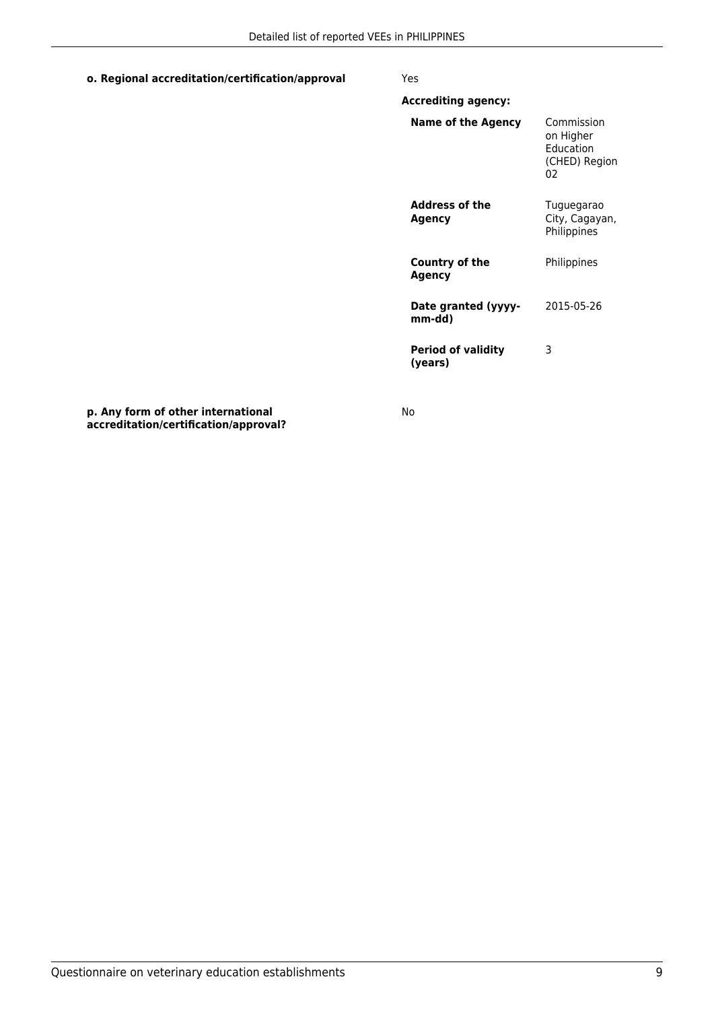#### **o. Regional accreditation/certification/approval** Yes

**Accrediting agency:**

| Name of the Agency                   | Commission<br>on Higher<br>Education<br>(CHED) Region<br>02 |
|--------------------------------------|-------------------------------------------------------------|
| <b>Address of the</b><br>Agency      | Tuguegarao<br>City, Cagayan,<br>Philippines                 |
| Country of the<br>Agency             | Philippines                                                 |
| Date granted (yyyy-<br>mm-dd)        | 2015-05-26                                                  |
| <b>Period of validity</b><br>(vears) | 3                                                           |

**p. Any form of other international accreditation/certification/approval?**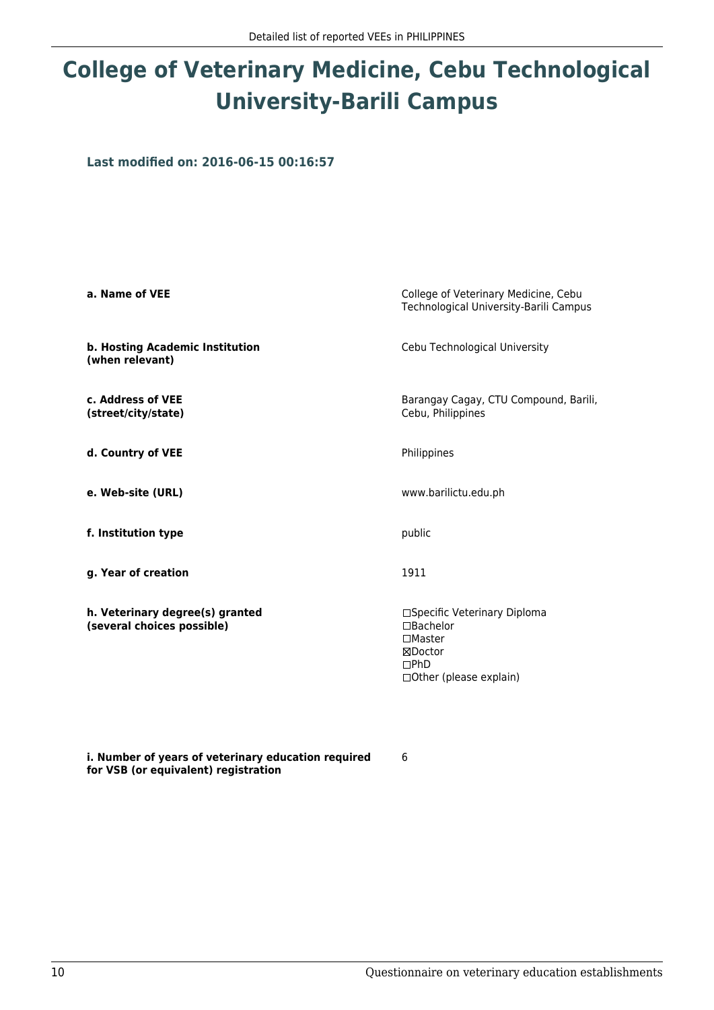# **College of Veterinary Medicine, Cebu Technological University-Barili Campus**

**Last modified on: 2016-06-15 00:16:57**

| a. Name of VEE                                                | College of Veterinary Medicine, Cebu<br>Technological University-Barili Campus                                           |
|---------------------------------------------------------------|--------------------------------------------------------------------------------------------------------------------------|
| b. Hosting Academic Institution<br>(when relevant)            | Cebu Technological University                                                                                            |
| c. Address of VEE<br>(street/city/state)                      | Barangay Cagay, CTU Compound, Barili,<br>Cebu, Philippines                                                               |
| d. Country of VEE                                             | Philippines                                                                                                              |
| e. Web-site (URL)                                             | www.barilictu.edu.ph                                                                                                     |
| f. Institution type                                           | public                                                                                                                   |
| g. Year of creation                                           | 1911                                                                                                                     |
| h. Veterinary degree(s) granted<br>(several choices possible) | □Specific Veterinary Diploma<br>$\Box$ Bachelor<br>$\square$ Master<br>⊠Doctor<br>$\Box$ PhD<br>□ Other (please explain) |

**i. Number of years of veterinary education required for VSB (or equivalent) registration**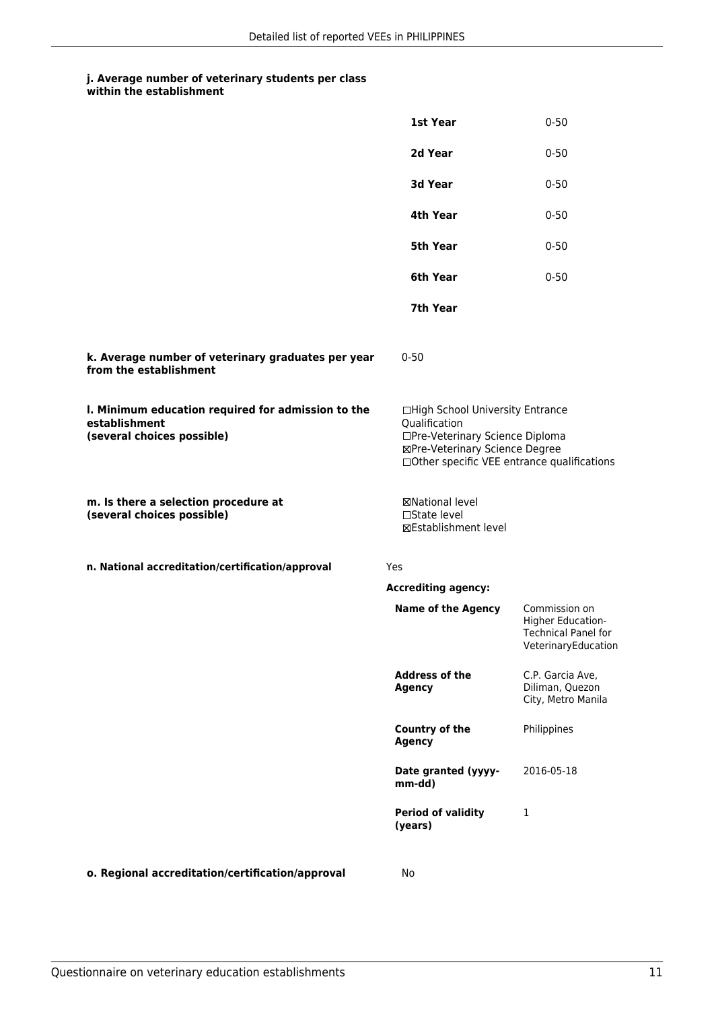| within the establishment |  |
|--------------------------|--|
|--------------------------|--|

|                                                                                                   | 1st Year                                                                                                               | $0 - 50$                                                                                |
|---------------------------------------------------------------------------------------------------|------------------------------------------------------------------------------------------------------------------------|-----------------------------------------------------------------------------------------|
|                                                                                                   | 2d Year                                                                                                                | $0 - 50$                                                                                |
|                                                                                                   | 3d Year                                                                                                                | $0 - 50$                                                                                |
|                                                                                                   | 4th Year                                                                                                               | $0 - 50$                                                                                |
|                                                                                                   | 5th Year                                                                                                               | $0 - 50$                                                                                |
|                                                                                                   | 6th Year                                                                                                               | $0 - 50$                                                                                |
|                                                                                                   | 7th Year                                                                                                               |                                                                                         |
| k. Average number of veterinary graduates per year<br>from the establishment                      | $0 - 50$                                                                                                               |                                                                                         |
| I. Minimum education required for admission to the<br>establishment<br>(several choices possible) | □High School University Entrance<br>Qualification<br>□Pre-Veterinary Science Diploma<br>⊠Pre-Veterinary Science Degree | □Other specific VEE entrance qualifications                                             |
| m. Is there a selection procedure at<br>(several choices possible)                                | ⊠National level<br>□State level<br>⊠Establishment level                                                                |                                                                                         |
| n. National accreditation/certification/approval                                                  | <b>Yes</b>                                                                                                             |                                                                                         |
|                                                                                                   | <b>Accrediting agency:</b>                                                                                             |                                                                                         |
|                                                                                                   | <b>Name of the Agency</b>                                                                                              | Commission on<br>Higher Education-<br><b>Technical Panel for</b><br>VeterinaryEducation |
|                                                                                                   | <b>Address of the</b><br><b>Agency</b>                                                                                 | C.P. Garcia Ave,<br>Diliman, Quezon<br>City, Metro Manila                               |
|                                                                                                   | <b>Country of the</b><br>Agency                                                                                        | Philippines                                                                             |
|                                                                                                   | Date granted (yyyy-<br>mm-dd)                                                                                          | 2016-05-18                                                                              |
|                                                                                                   | <b>Period of validity</b><br>(years)                                                                                   | $\mathbf{1}$                                                                            |
| o. Regional accreditation/certification/approval                                                  | No                                                                                                                     |                                                                                         |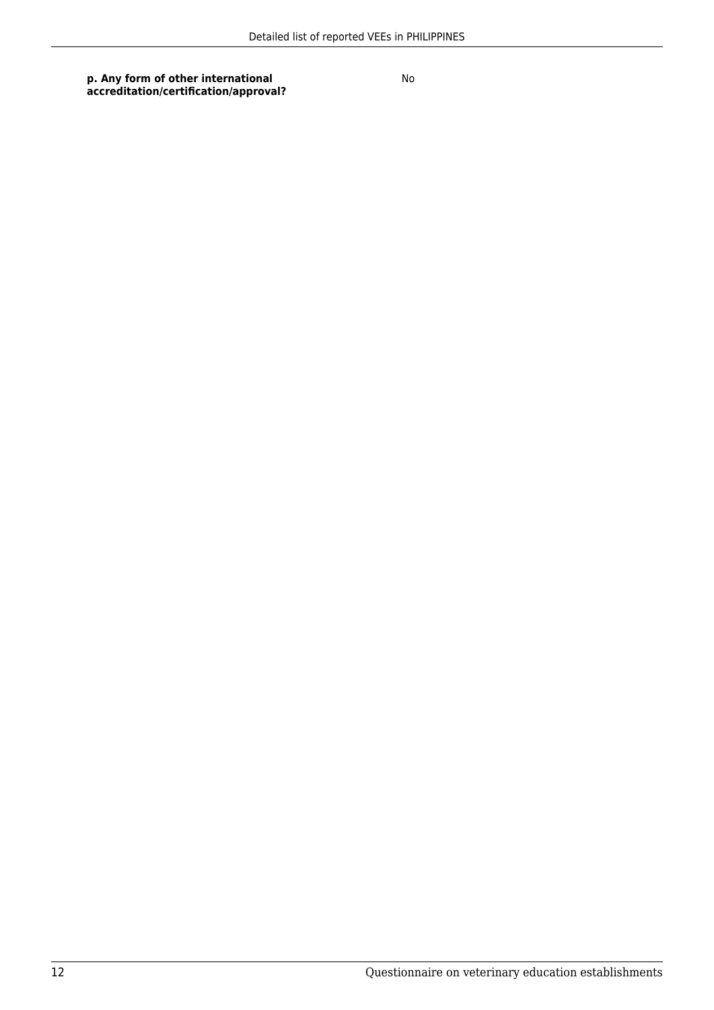**p. Any form of other international accreditation/certification/approval?**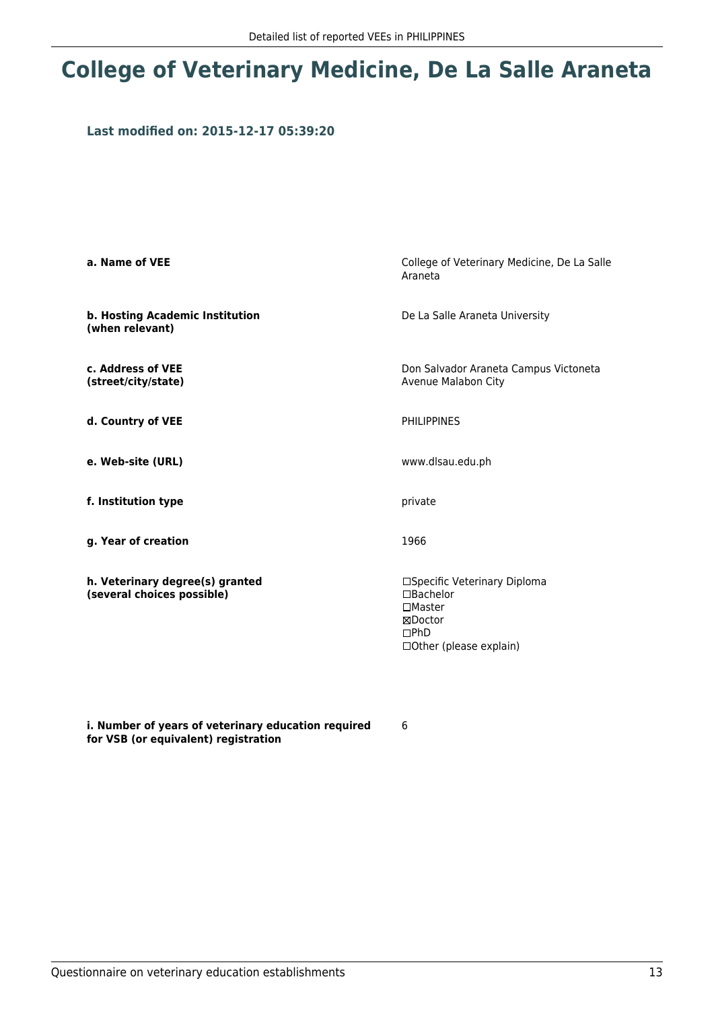## **College of Veterinary Medicine, De La Salle Araneta**

#### **Last modified on: 2015-12-17 05:39:20**

| a. Name of VEE                                                | College of Veterinary Medicine, De La Salle<br>Araneta                                                          |
|---------------------------------------------------------------|-----------------------------------------------------------------------------------------------------------------|
| b. Hosting Academic Institution<br>(when relevant)            | De La Salle Araneta University                                                                                  |
| c. Address of VEE<br>(street/city/state)                      | Don Salvador Araneta Campus Victoneta<br>Avenue Malabon City                                                    |
| d. Country of VEE                                             | <b>PHILIPPINES</b>                                                                                              |
| e. Web-site (URL)                                             | www.dlsau.edu.ph                                                                                                |
| f. Institution type                                           | private                                                                                                         |
| g. Year of creation                                           | 1966                                                                                                            |
| h. Veterinary degree(s) granted<br>(several choices possible) | □Specific Veterinary Diploma<br>□Bachelor<br>$\Box$ Master<br>⊠Doctor<br>$\Box$ PhD<br>□ Other (please explain) |

**i. Number of years of veterinary education required for VSB (or equivalent) registration**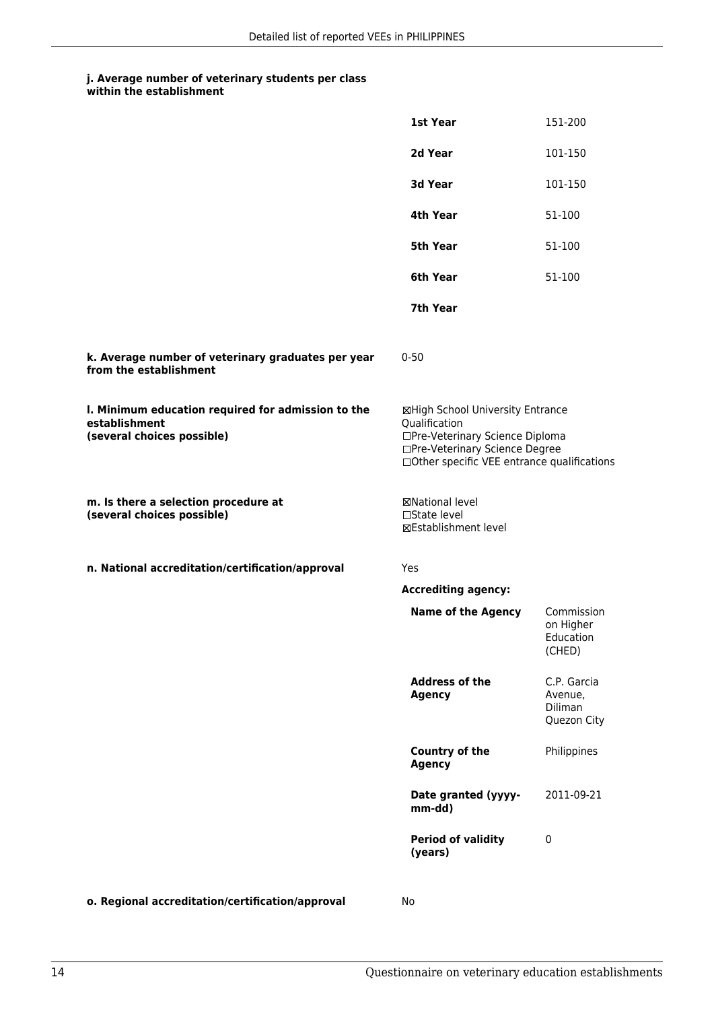|                                                                                                   | 1st Year                                                                                                                                                              | 151-200                                                 |
|---------------------------------------------------------------------------------------------------|-----------------------------------------------------------------------------------------------------------------------------------------------------------------------|---------------------------------------------------------|
|                                                                                                   | 2d Year                                                                                                                                                               | 101-150                                                 |
|                                                                                                   | 3d Year                                                                                                                                                               | 101-150                                                 |
|                                                                                                   | 4th Year                                                                                                                                                              | 51-100                                                  |
|                                                                                                   | 5th Year                                                                                                                                                              | 51-100                                                  |
|                                                                                                   | 6th Year                                                                                                                                                              | 51-100                                                  |
|                                                                                                   | 7th Year                                                                                                                                                              |                                                         |
| k. Average number of veterinary graduates per year<br>from the establishment                      | $0 - 50$                                                                                                                                                              |                                                         |
| I. Minimum education required for admission to the<br>establishment<br>(several choices possible) | ⊠High School University Entrance<br>Qualification<br>□Pre-Veterinary Science Diploma<br>□Pre-Veterinary Science Degree<br>□Other specific VEE entrance qualifications |                                                         |
| m. Is there a selection procedure at<br>(several choices possible)                                | ⊠National level<br>$\Box$ State level<br>⊠Establishment level                                                                                                         |                                                         |
| n. National accreditation/certification/approval                                                  | Yes                                                                                                                                                                   |                                                         |
|                                                                                                   | <b>Accrediting agency:</b>                                                                                                                                            |                                                         |
|                                                                                                   | <b>Name of the Agency</b>                                                                                                                                             | Commission<br>on Higher<br>Education<br>(CHED)          |
|                                                                                                   | <b>Address of the</b><br><b>Agency</b>                                                                                                                                | C.P. Garcia<br>Avenue,<br><b>Diliman</b><br>Quezon City |
|                                                                                                   | Country of the<br><b>Agency</b>                                                                                                                                       | Philippines                                             |
|                                                                                                   | Date granted (yyyy-<br>mm-dd)                                                                                                                                         | 2011-09-21                                              |
|                                                                                                   | <b>Period of validity</b><br>(years)                                                                                                                                  | 0                                                       |
| o. Regional accreditation/certification/approval                                                  | No                                                                                                                                                                    |                                                         |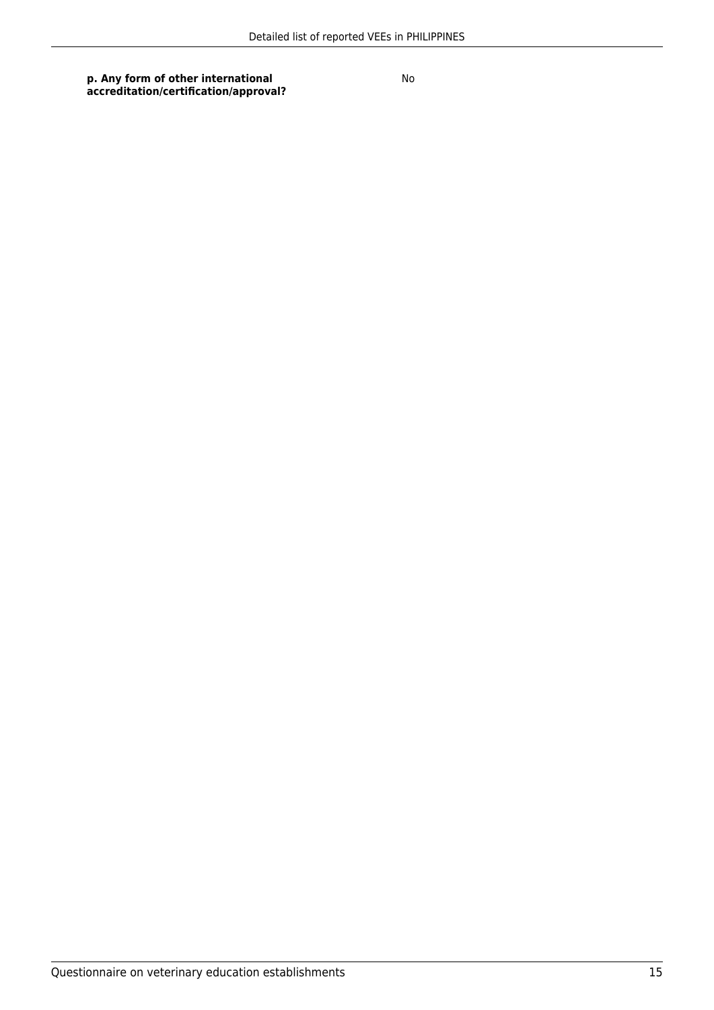**p. Any form of other international accreditation/certification/approval?**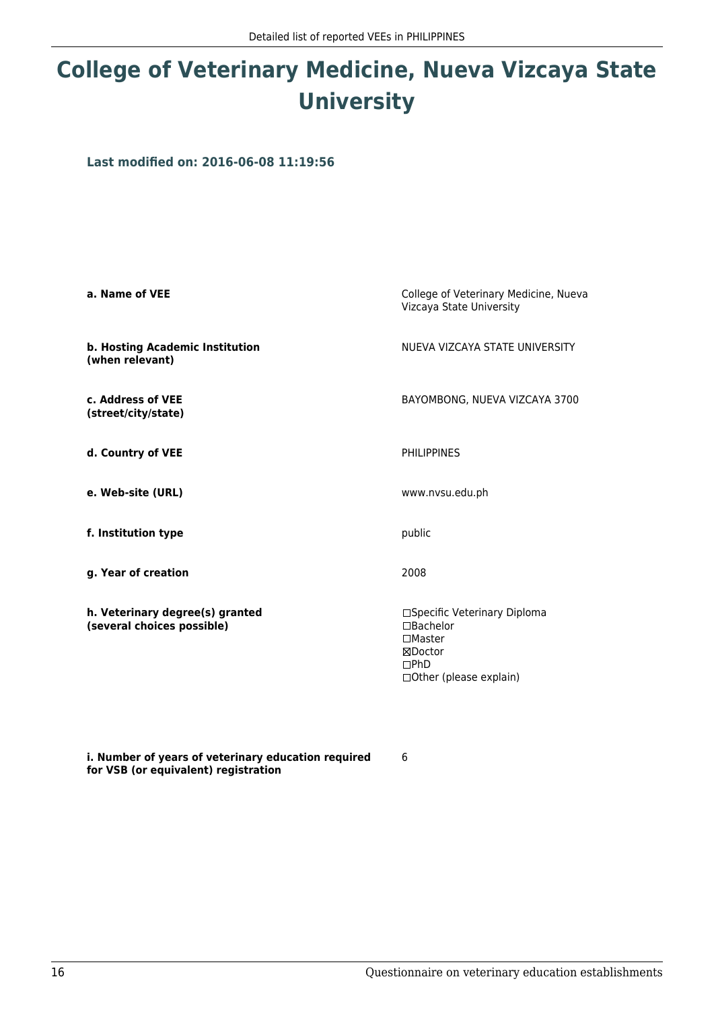## **College of Veterinary Medicine, Nueva Vizcaya State University**

**Last modified on: 2016-06-08 11:19:56**

| a. Name of VEE                                                | College of Veterinary Medicine, Nueva<br>Vizcaya State University                                                    |
|---------------------------------------------------------------|----------------------------------------------------------------------------------------------------------------------|
| b. Hosting Academic Institution<br>(when relevant)            | NUEVA VIZCAYA STATE UNIVERSITY                                                                                       |
| c. Address of VEE<br>(street/city/state)                      | BAYOMBONG, NUEVA VIZCAYA 3700                                                                                        |
| d. Country of VEE                                             | <b>PHILIPPINES</b>                                                                                                   |
| e. Web-site (URL)                                             | www.nvsu.edu.ph                                                                                                      |
| f. Institution type                                           | public                                                                                                               |
| g. Year of creation                                           | 2008                                                                                                                 |
| h. Veterinary degree(s) granted<br>(several choices possible) | □Specific Veterinary Diploma<br>$\Box$ Bachelor<br>$\Box$ Master<br>⊠Doctor<br>$\Box$ PhD<br>□Other (please explain) |

**i. Number of years of veterinary education required for VSB (or equivalent) registration**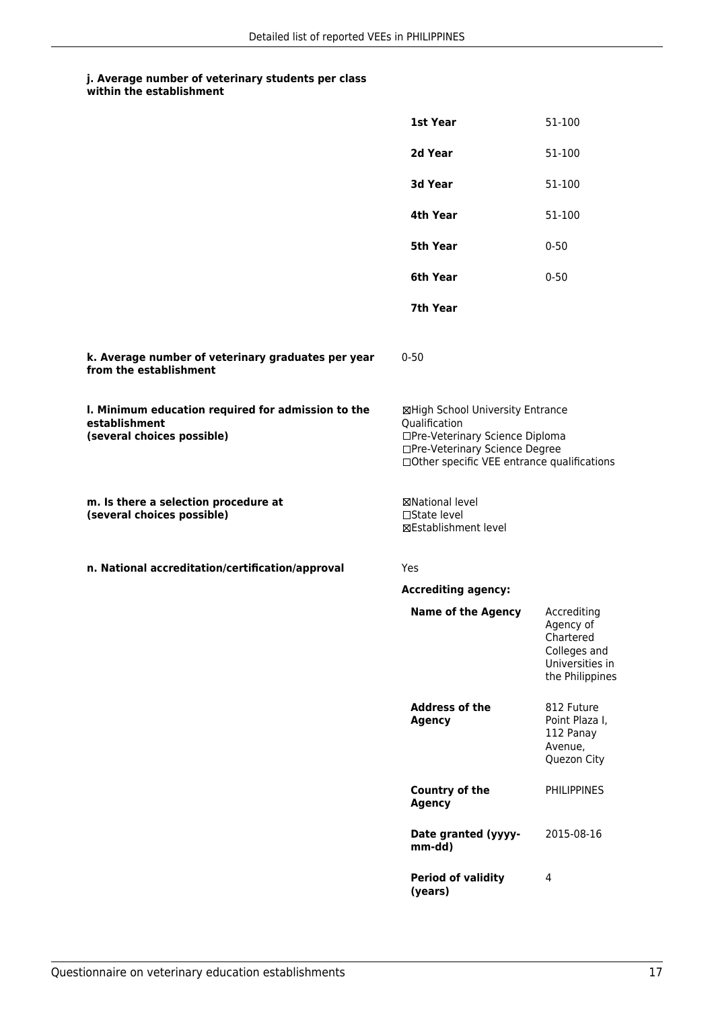|                                                                                                   | <b>1st Year</b>                                                                                                                                                       | 51-100                                                                                      |
|---------------------------------------------------------------------------------------------------|-----------------------------------------------------------------------------------------------------------------------------------------------------------------------|---------------------------------------------------------------------------------------------|
|                                                                                                   | 2d Year                                                                                                                                                               | 51-100                                                                                      |
|                                                                                                   | 3d Year                                                                                                                                                               | 51-100                                                                                      |
|                                                                                                   | 4th Year                                                                                                                                                              | 51-100                                                                                      |
|                                                                                                   | 5th Year                                                                                                                                                              | $0 - 50$                                                                                    |
|                                                                                                   | 6th Year                                                                                                                                                              | $0 - 50$                                                                                    |
|                                                                                                   | 7th Year                                                                                                                                                              |                                                                                             |
| k. Average number of veterinary graduates per year<br>from the establishment                      | $0 - 50$                                                                                                                                                              |                                                                                             |
| I. Minimum education required for admission to the<br>establishment<br>(several choices possible) | ⊠High School University Entrance<br>Qualification<br>□Pre-Veterinary Science Diploma<br>□Pre-Veterinary Science Degree<br>□Other specific VEE entrance qualifications |                                                                                             |
| m. Is there a selection procedure at<br>(several choices possible)                                | ⊠National level<br>$\Box$ State level<br>⊠Establishment level                                                                                                         |                                                                                             |
| n. National accreditation/certification/approval                                                  | Yes                                                                                                                                                                   |                                                                                             |
|                                                                                                   | <b>Accrediting agency:</b>                                                                                                                                            |                                                                                             |
|                                                                                                   | <b>Name of the Agency</b>                                                                                                                                             | Accrediting<br>Agency of<br>Chartered<br>Colleges and<br>Universities in<br>the Philippines |
|                                                                                                   | <b>Address of the</b><br><b>Agency</b>                                                                                                                                | 812 Future<br>Point Plaza I,<br>112 Panay<br>Avenue,<br>Quezon City                         |
|                                                                                                   | <b>Country of the</b><br><b>Agency</b>                                                                                                                                | <b>PHILIPPINES</b>                                                                          |
|                                                                                                   | Date granted (yyyy-<br>mm-dd)                                                                                                                                         | 2015-08-16                                                                                  |
|                                                                                                   | <b>Period of validity</b><br>(years)                                                                                                                                  | 4                                                                                           |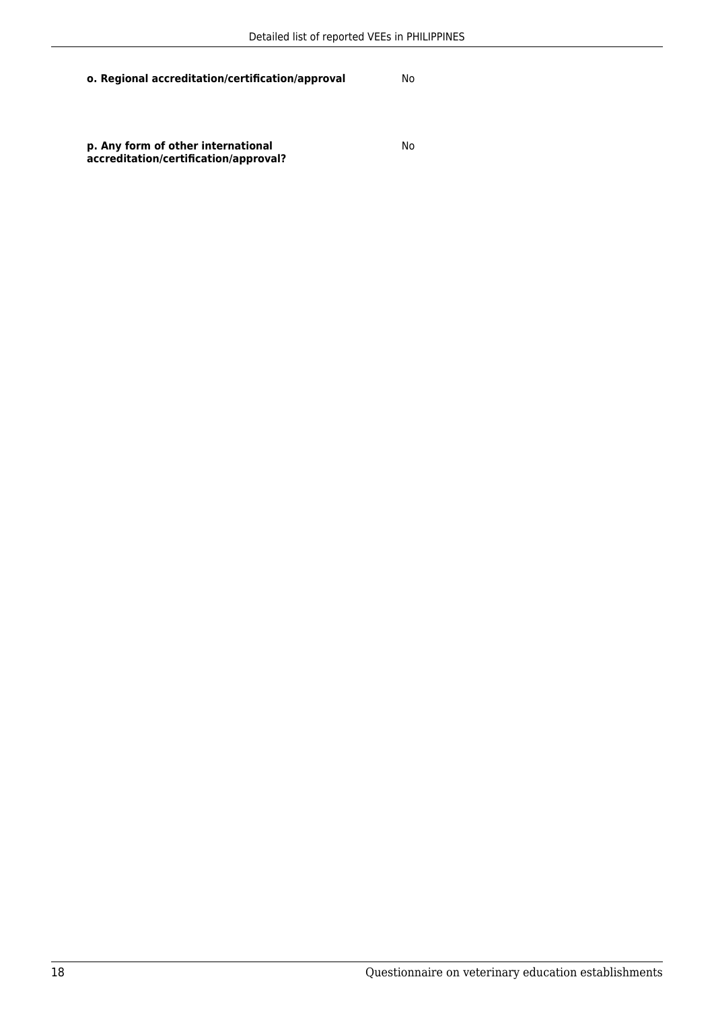**o. Regional accreditation/certification/approval** No

No

**p. Any form of other international accreditation/certification/approval?**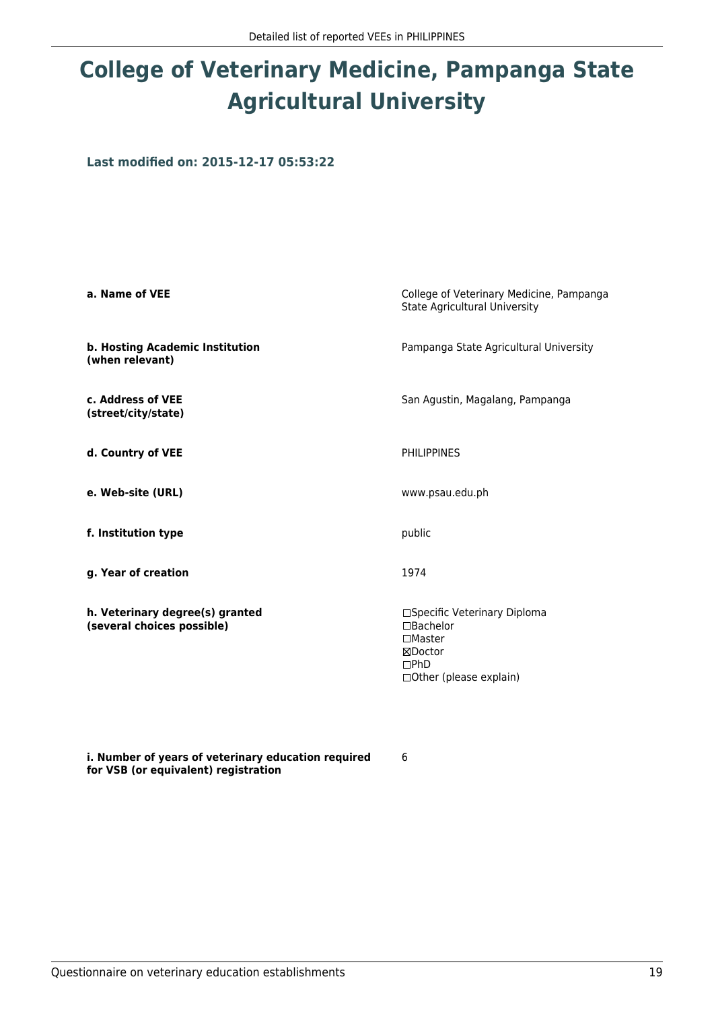# **College of Veterinary Medicine, Pampanga State Agricultural University**

**Last modified on: 2015-12-17 05:53:22**

| a. Name of VEE                                                | College of Veterinary Medicine, Pampanga<br><b>State Agricultural University</b>                                        |
|---------------------------------------------------------------|-------------------------------------------------------------------------------------------------------------------------|
| b. Hosting Academic Institution<br>(when relevant)            | Pampanga State Agricultural University                                                                                  |
| c. Address of VEE<br>(street/city/state)                      | San Agustin, Magalang, Pampanga                                                                                         |
| d. Country of VEE                                             | <b>PHILIPPINES</b>                                                                                                      |
| e. Web-site (URL)                                             | www.psau.edu.ph                                                                                                         |
| f. Institution type                                           | public                                                                                                                  |
| g. Year of creation                                           | 1974                                                                                                                    |
| h. Veterinary degree(s) granted<br>(several choices possible) | □Specific Veterinary Diploma<br>$\Box$ Bachelor<br>$\Box$ Master<br>⊠Doctor<br>$\square$ PhD<br>□Other (please explain) |

**i. Number of years of veterinary education required for VSB (or equivalent) registration**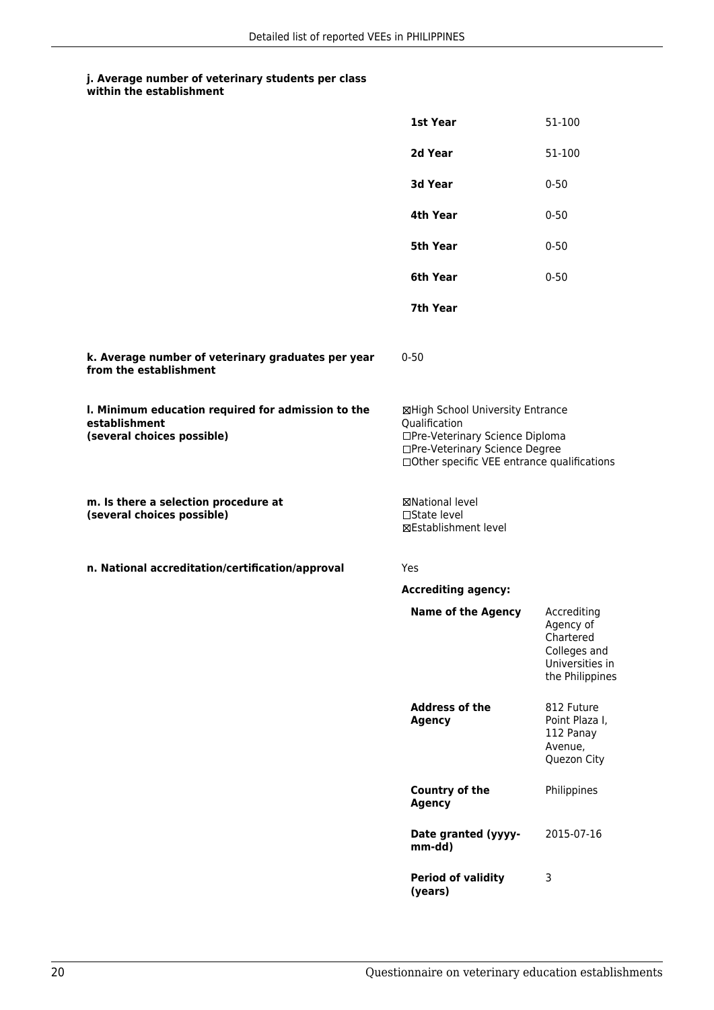| within the establishment |  |  |  |
|--------------------------|--|--|--|
|--------------------------|--|--|--|

|                                                                                                   | 1st Year                                                                                                                                                              | 51-100                                                                                      |
|---------------------------------------------------------------------------------------------------|-----------------------------------------------------------------------------------------------------------------------------------------------------------------------|---------------------------------------------------------------------------------------------|
|                                                                                                   | 2d Year                                                                                                                                                               | 51-100                                                                                      |
|                                                                                                   | 3d Year                                                                                                                                                               | $0 - 50$                                                                                    |
|                                                                                                   | 4th Year                                                                                                                                                              | $0 - 50$                                                                                    |
|                                                                                                   | 5th Year                                                                                                                                                              | $0 - 50$                                                                                    |
|                                                                                                   | 6th Year                                                                                                                                                              | $0 - 50$                                                                                    |
|                                                                                                   | 7th Year                                                                                                                                                              |                                                                                             |
| k. Average number of veterinary graduates per year<br>from the establishment                      | $0 - 50$                                                                                                                                                              |                                                                                             |
| I. Minimum education required for admission to the<br>establishment<br>(several choices possible) | ⊠High School University Entrance<br>Qualification<br>□Pre-Veterinary Science Diploma<br>□Pre-Veterinary Science Degree<br>□Other specific VEE entrance qualifications |                                                                                             |
| m. Is there a selection procedure at<br>(several choices possible)                                | <b>⊠National level</b><br>□State level<br>⊠Establishment level                                                                                                        |                                                                                             |
| n. National accreditation/certification/approval                                                  | Yes                                                                                                                                                                   |                                                                                             |
|                                                                                                   | <b>Accrediting agency:</b>                                                                                                                                            |                                                                                             |
|                                                                                                   | <b>Name of the Agency</b>                                                                                                                                             | Accrediting<br>Agency of<br>Chartered<br>Colleges and<br>Universities in<br>the Philippines |
|                                                                                                   | <b>Address of the</b><br><b>Agency</b>                                                                                                                                | 812 Future<br>Point Plaza I,<br>112 Panay<br>Avenue,<br>Quezon City                         |
|                                                                                                   | <b>Country of the</b><br><b>Agency</b>                                                                                                                                | Philippines                                                                                 |
|                                                                                                   | Date granted (yyyy-<br>mm-dd)                                                                                                                                         | 2015-07-16                                                                                  |
|                                                                                                   | <b>Period of validity</b><br>(years)                                                                                                                                  | 3                                                                                           |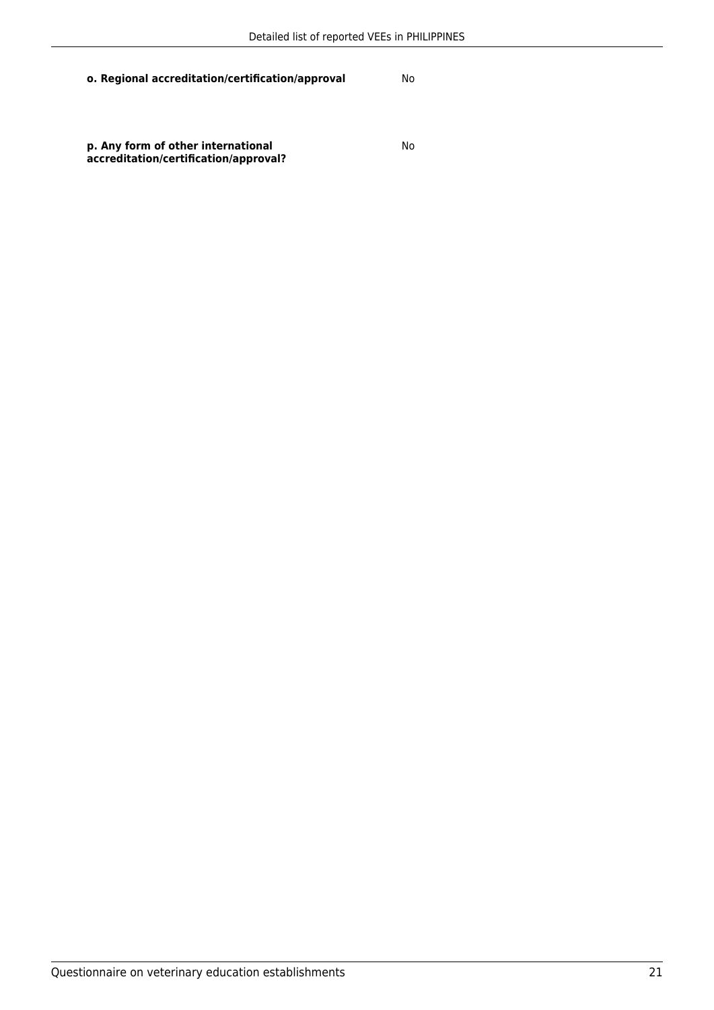**o. Regional accreditation/certification/approval** No

**p. Any form of other international accreditation/certification/approval?**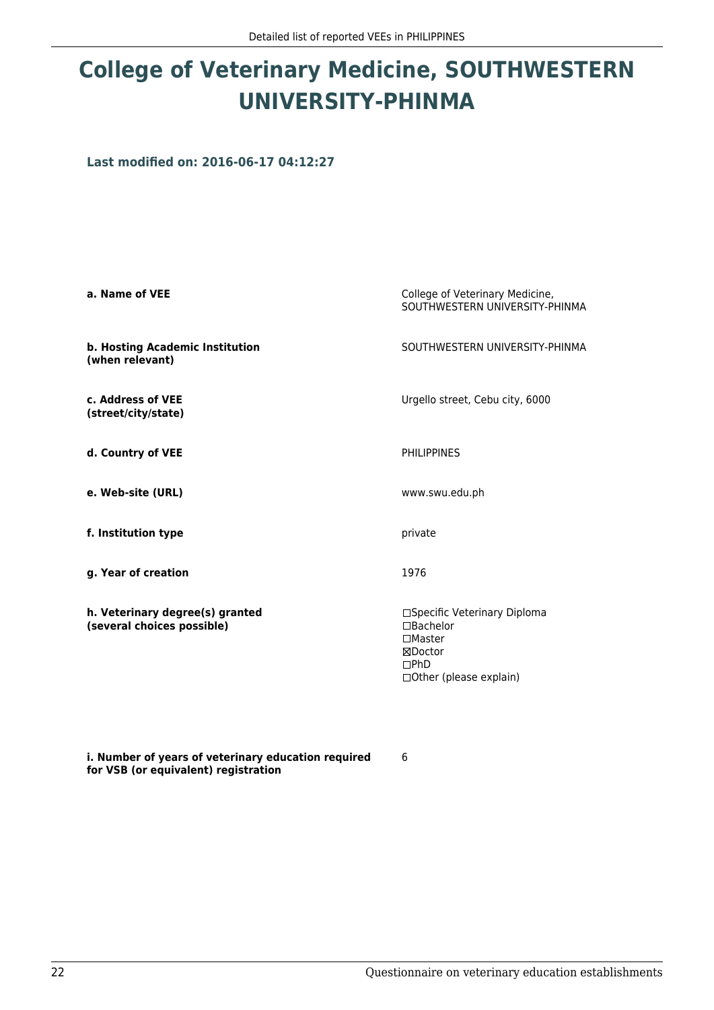# **College of Veterinary Medicine, SOUTHWESTERN UNIVERSITY-PHINMA**

**Last modified on: 2016-06-17 04:12:27**

| a. Name of VEE                                                | College of Veterinary Medicine,<br>SOUTHWESTERN UNIVERSITY-PHINMA                                                    |
|---------------------------------------------------------------|----------------------------------------------------------------------------------------------------------------------|
| b. Hosting Academic Institution<br>(when relevant)            | SOUTHWESTERN UNIVERSITY-PHINMA                                                                                       |
| c. Address of VEE<br>(street/city/state)                      | Urgello street, Cebu city, 6000                                                                                      |
| d. Country of VEE                                             | <b>PHILIPPINES</b>                                                                                                   |
| e. Web-site (URL)                                             | www.swu.edu.ph                                                                                                       |
| f. Institution type                                           | private                                                                                                              |
| g. Year of creation                                           | 1976                                                                                                                 |
| h. Veterinary degree(s) granted<br>(several choices possible) | □Specific Veterinary Diploma<br>□Bachelor<br>$\Box$ Master<br>⊠Doctor<br>$\Box$ PhD<br>$\Box$ Other (please explain) |

**i. Number of years of veterinary education required for VSB (or equivalent) registration**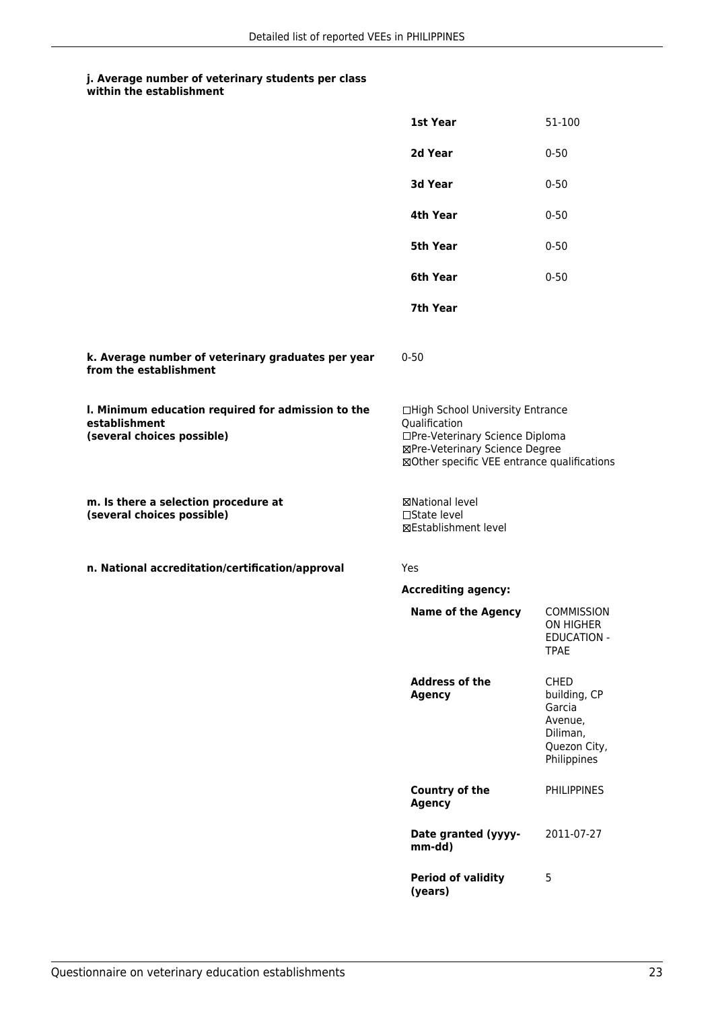|                                                                                                   | 1st Year                                                                                                                                                              | 51-100                                                                                      |
|---------------------------------------------------------------------------------------------------|-----------------------------------------------------------------------------------------------------------------------------------------------------------------------|---------------------------------------------------------------------------------------------|
|                                                                                                   | 2d Year                                                                                                                                                               | $0 - 50$                                                                                    |
|                                                                                                   | 3d Year                                                                                                                                                               | $0 - 50$                                                                                    |
|                                                                                                   | 4th Year                                                                                                                                                              | $0 - 50$                                                                                    |
|                                                                                                   | 5th Year                                                                                                                                                              | $0 - 50$                                                                                    |
|                                                                                                   | 6th Year                                                                                                                                                              | $0 - 50$                                                                                    |
|                                                                                                   | 7th Year                                                                                                                                                              |                                                                                             |
| k. Average number of veterinary graduates per year<br>from the establishment                      | $0 - 50$                                                                                                                                                              |                                                                                             |
| I. Minimum education required for admission to the<br>establishment<br>(several choices possible) | □High School University Entrance<br>Qualification<br>□Pre-Veterinary Science Diploma<br>⊠Pre-Veterinary Science Degree<br>⊠Other specific VEE entrance qualifications |                                                                                             |
| m. Is there a selection procedure at<br>(several choices possible)                                | ⊠National level<br>$\Box$ State level<br>⊠Establishment level                                                                                                         |                                                                                             |
| n. National accreditation/certification/approval                                                  | Yes                                                                                                                                                                   |                                                                                             |
|                                                                                                   | <b>Accrediting agency:</b>                                                                                                                                            |                                                                                             |
|                                                                                                   | <b>Name of the Agency</b>                                                                                                                                             | <b>COMMISSION</b><br>ON HIGHER<br><b>EDUCATION -</b><br><b>TPAE</b>                         |
|                                                                                                   | <b>Address of the</b><br><b>Agency</b>                                                                                                                                | <b>CHED</b><br>building, CP<br>Garcia<br>Avenue.<br>Diliman,<br>Quezon City,<br>Philippines |
|                                                                                                   | Country of the<br><b>Agency</b>                                                                                                                                       | <b>PHILIPPINES</b>                                                                          |
|                                                                                                   | Date granted (yyyy-<br>mm-dd)                                                                                                                                         | 2011-07-27                                                                                  |
|                                                                                                   | <b>Period of validity</b><br>(years)                                                                                                                                  | 5                                                                                           |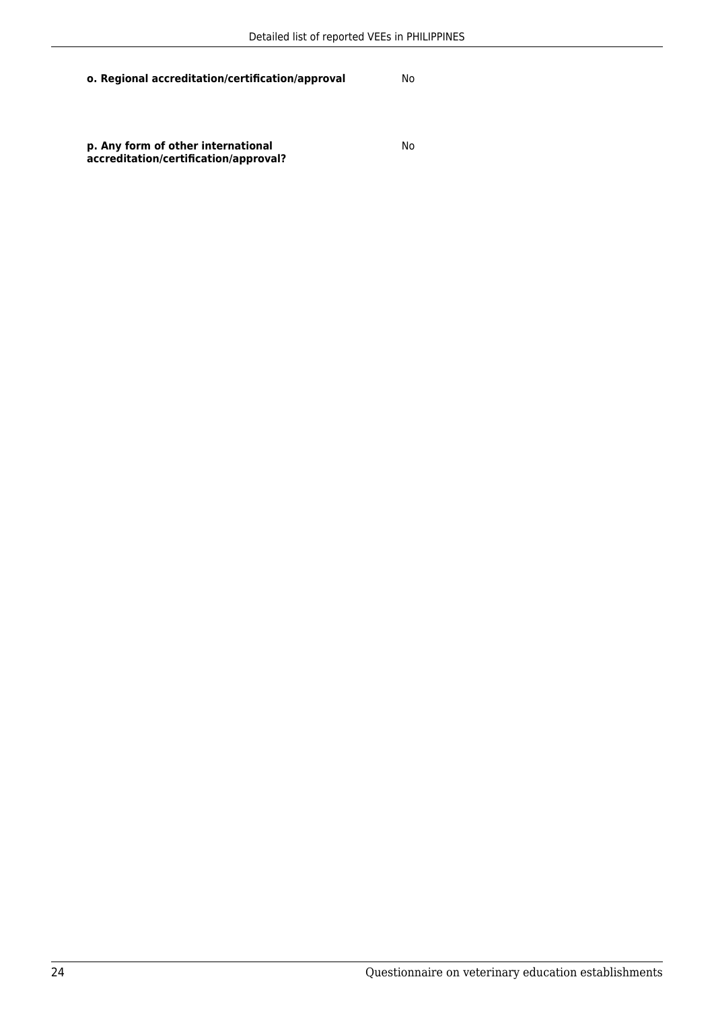**o. Regional accreditation/certification/approval** No

No

**p. Any form of other international accreditation/certification/approval?**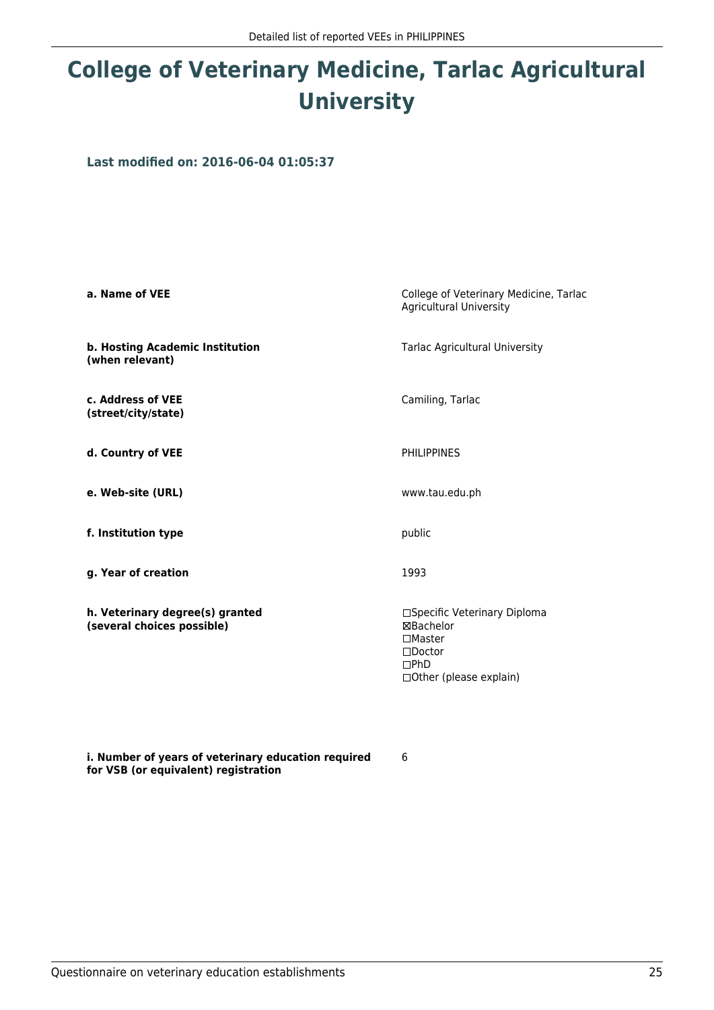## **College of Veterinary Medicine, Tarlac Agricultural University**

**Last modified on: 2016-06-04 01:05:37**

| a. Name of VEE                                                | College of Veterinary Medicine, Tarlac<br><b>Agricultural University</b>                                                    |
|---------------------------------------------------------------|-----------------------------------------------------------------------------------------------------------------------------|
| b. Hosting Academic Institution<br>(when relevant)            | <b>Tarlac Agricultural University</b>                                                                                       |
| c. Address of VEE<br>(street/city/state)                      | Camiling, Tarlac                                                                                                            |
| d. Country of VEE                                             | <b>PHILIPPINES</b>                                                                                                          |
| e. Web-site (URL)                                             | www.tau.edu.ph                                                                                                              |
| f. Institution type                                           | public                                                                                                                      |
| g. Year of creation                                           | 1993                                                                                                                        |
| h. Veterinary degree(s) granted<br>(several choices possible) | □Specific Veterinary Diploma<br>⊠Bachelor<br>$\square$ Master<br>$\square$ Doctor<br>$\Box$ PhD<br>□ Other (please explain) |

**i. Number of years of veterinary education required for VSB (or equivalent) registration**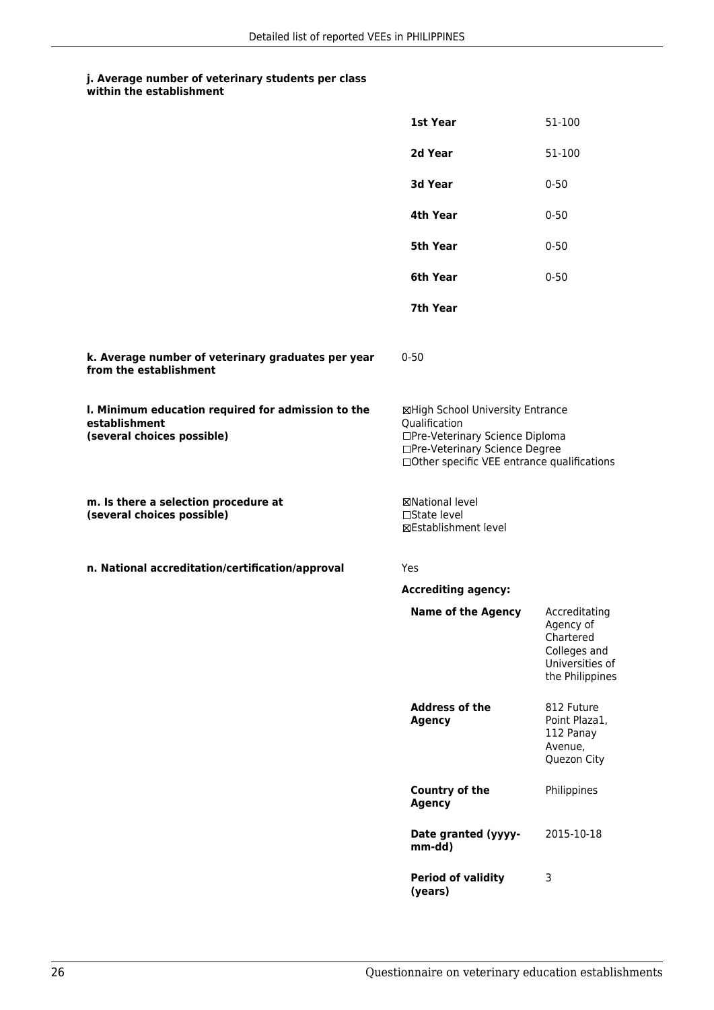|                                                                                                   | 1st Year                                                                                                                                                              | 51-100                                                                                        |
|---------------------------------------------------------------------------------------------------|-----------------------------------------------------------------------------------------------------------------------------------------------------------------------|-----------------------------------------------------------------------------------------------|
|                                                                                                   | 2d Year                                                                                                                                                               | 51-100                                                                                        |
|                                                                                                   | 3d Year                                                                                                                                                               | $0 - 50$                                                                                      |
|                                                                                                   | 4th Year                                                                                                                                                              | $0 - 50$                                                                                      |
|                                                                                                   | 5th Year                                                                                                                                                              | $0 - 50$                                                                                      |
|                                                                                                   | 6th Year                                                                                                                                                              | $0 - 50$                                                                                      |
|                                                                                                   | 7th Year                                                                                                                                                              |                                                                                               |
| k. Average number of veterinary graduates per year<br>from the establishment                      | $0 - 50$                                                                                                                                                              |                                                                                               |
| I. Minimum education required for admission to the<br>establishment<br>(several choices possible) | ⊠High School University Entrance<br>Qualification<br>□Pre-Veterinary Science Diploma<br>□Pre-Veterinary Science Degree<br>□Other specific VEE entrance qualifications |                                                                                               |
| m. Is there a selection procedure at<br>(several choices possible)                                | ⊠National level<br>$\Box$ State level<br>⊠Establishment level                                                                                                         |                                                                                               |
| n. National accreditation/certification/approval                                                  | Yes                                                                                                                                                                   |                                                                                               |
|                                                                                                   | <b>Accrediting agency:</b>                                                                                                                                            |                                                                                               |
|                                                                                                   | <b>Name of the Agency</b>                                                                                                                                             | Accreditating<br>Agency of<br>Chartered<br>Colleges and<br>Universities of<br>the Philippines |
|                                                                                                   | <b>Address of the</b><br><b>Agency</b>                                                                                                                                | 812 Future<br>Point Plaza1,<br>112 Panay<br>Avenue,<br>Quezon City                            |
|                                                                                                   | Country of the<br><b>Agency</b>                                                                                                                                       | Philippines                                                                                   |
|                                                                                                   | Date granted (yyyy-<br>mm-dd)                                                                                                                                         | 2015-10-18                                                                                    |
|                                                                                                   | <b>Period of validity</b><br>(years)                                                                                                                                  | 3                                                                                             |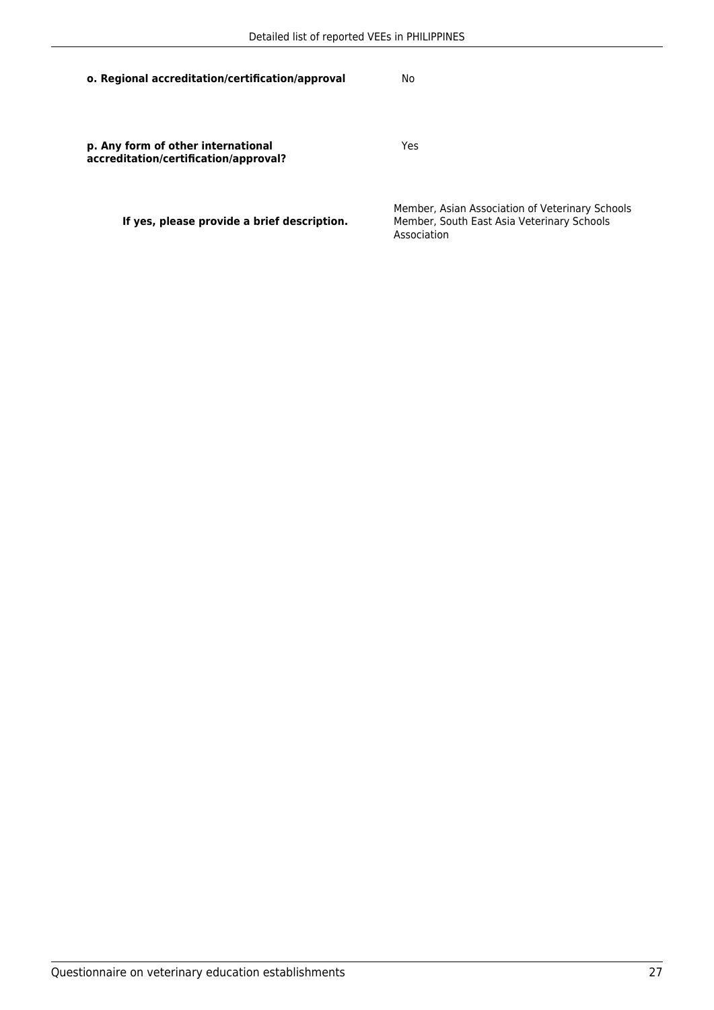| o. Regional accreditation/certification/approval                            | No.                                                                                                          |
|-----------------------------------------------------------------------------|--------------------------------------------------------------------------------------------------------------|
| p. Any form of other international<br>accreditation/certification/approval? | Yes                                                                                                          |
| If yes, please provide a brief description.                                 | Member, Asian Association of Veterinary Schools<br>Member, South East Asia Veterinary Schools<br>Association |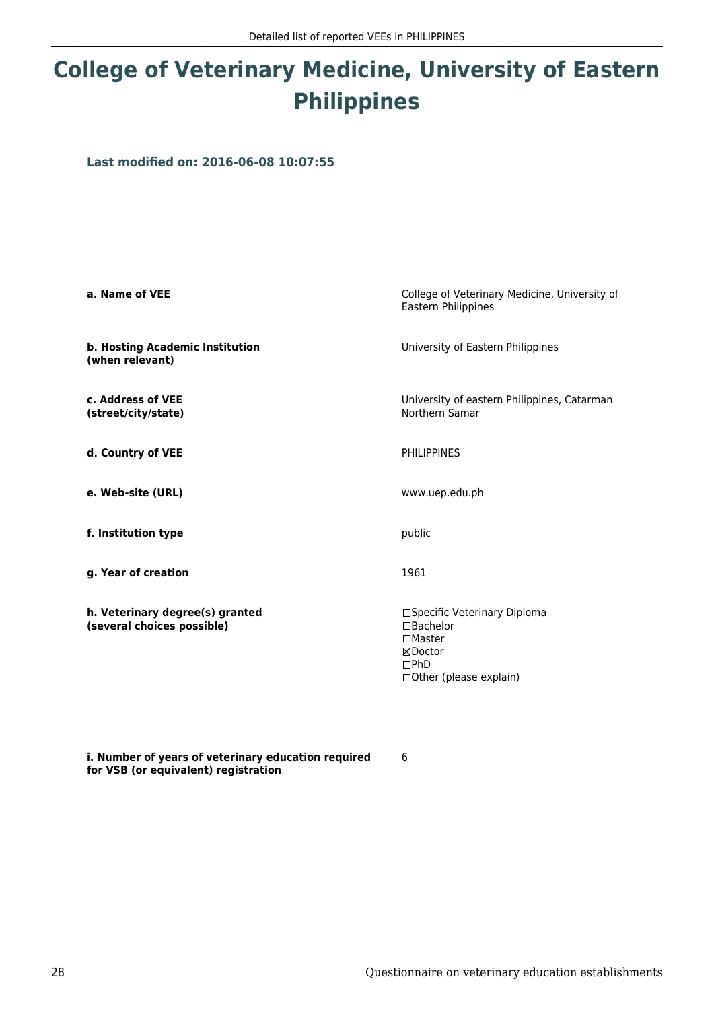## **College of Veterinary Medicine, University of Eastern Philippines**

**Last modified on: 2016-06-08 10:07:55**

| a. Name of VEE                                                | College of Veterinary Medicine, University of<br>Eastern Philippines                                               |
|---------------------------------------------------------------|--------------------------------------------------------------------------------------------------------------------|
| b. Hosting Academic Institution<br>(when relevant)            | University of Eastern Philippines                                                                                  |
| c. Address of VEE<br>(street/city/state)                      | University of eastern Philippines, Catarman<br>Northern Samar                                                      |
| d. Country of VEE                                             | <b>PHILIPPINES</b>                                                                                                 |
| e. Web-site (URL)                                             | www.uep.edu.ph                                                                                                     |
| f. Institution type                                           | public                                                                                                             |
| g. Year of creation                                           | 1961                                                                                                               |
| h. Veterinary degree(s) granted<br>(several choices possible) | □Specific Veterinary Diploma<br>$\Box$ Bachelor<br>$\square$ Master<br>⊠Doctor<br>DPhD<br>□ Other (please explain) |

**i. Number of years of veterinary education required for VSB (or equivalent) registration**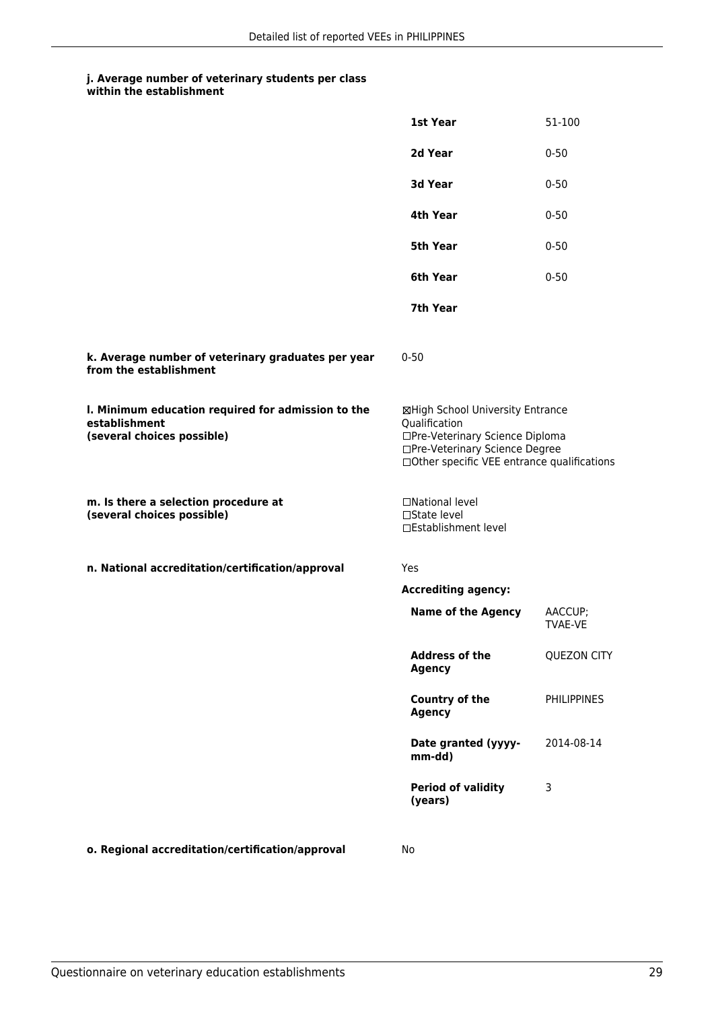|                                                                                                   | 1st Year                                                                                                                                                              | 51-100                    |
|---------------------------------------------------------------------------------------------------|-----------------------------------------------------------------------------------------------------------------------------------------------------------------------|---------------------------|
|                                                                                                   | 2d Year                                                                                                                                                               | $0 - 50$                  |
|                                                                                                   | 3d Year                                                                                                                                                               | $0 - 50$                  |
|                                                                                                   | 4th Year                                                                                                                                                              | $0 - 50$                  |
|                                                                                                   | 5th Year                                                                                                                                                              | $0 - 50$                  |
|                                                                                                   | 6th Year                                                                                                                                                              | $0 - 50$                  |
|                                                                                                   | 7th Year                                                                                                                                                              |                           |
| k. Average number of veterinary graduates per year<br>from the establishment                      | $0 - 50$                                                                                                                                                              |                           |
| I. Minimum education required for admission to the<br>establishment<br>(several choices possible) | ⊠High School University Entrance<br>Qualification<br>□Pre-Veterinary Science Diploma<br>□Pre-Veterinary Science Degree<br>□Other specific VEE entrance qualifications |                           |
| m. Is there a selection procedure at<br>(several choices possible)                                | □National level<br>□State level<br>□Establishment level                                                                                                               |                           |
| n. National accreditation/certification/approval                                                  | Yes                                                                                                                                                                   |                           |
|                                                                                                   | <b>Accrediting agency:</b>                                                                                                                                            |                           |
|                                                                                                   | <b>Name of the Agency</b>                                                                                                                                             | AACCUP;<br><b>TVAE-VE</b> |
|                                                                                                   | <b>Address of the</b><br><b>Agency</b>                                                                                                                                | <b>QUEZON CITY</b>        |
|                                                                                                   | <b>Country of the</b><br><b>Agency</b>                                                                                                                                | <b>PHILIPPINES</b>        |
|                                                                                                   | Date granted (yyyy-<br>mm-dd)                                                                                                                                         | 2014-08-14                |
|                                                                                                   | <b>Period of validity</b><br>(years)                                                                                                                                  | 3                         |
| o. Regional accreditation/certification/approval                                                  | No                                                                                                                                                                    |                           |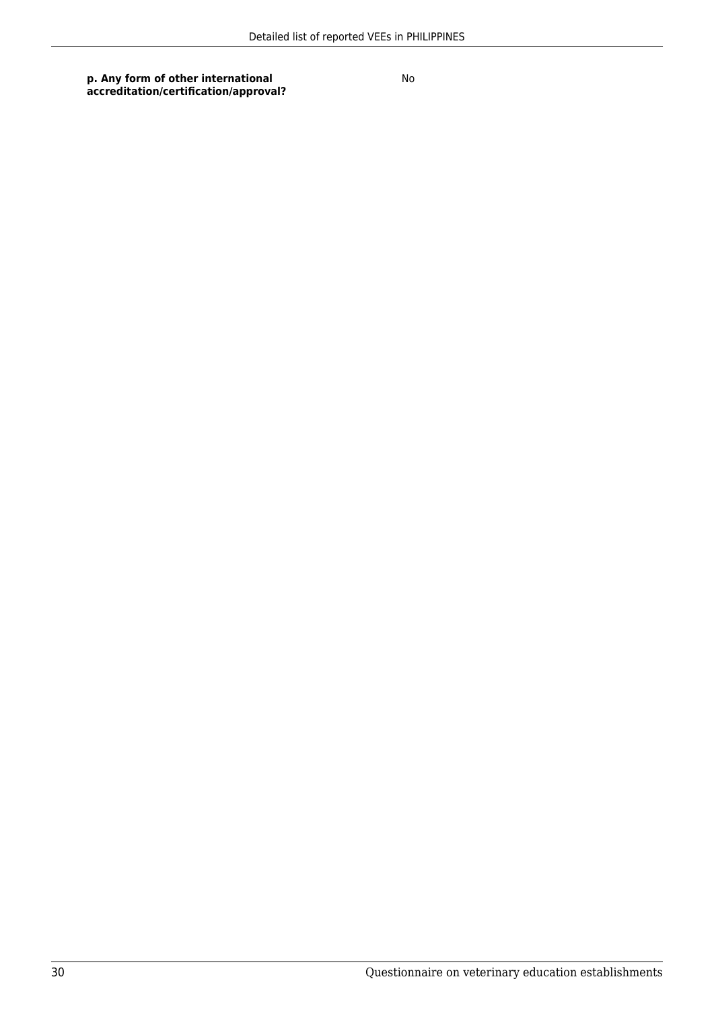**p. Any form of other international accreditation/certification/approval?**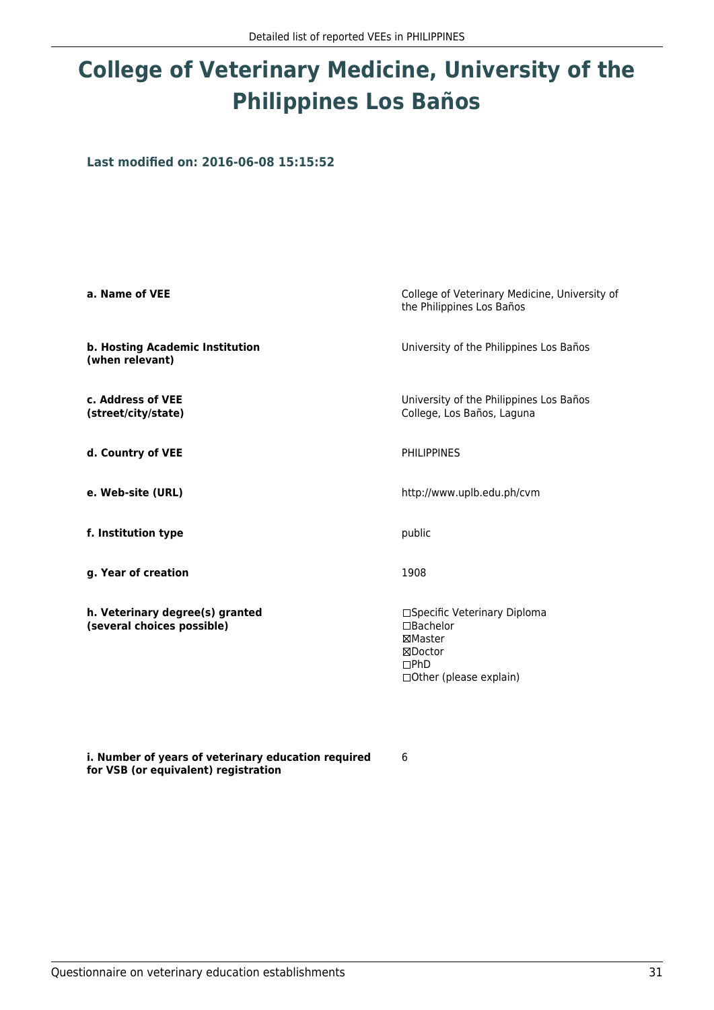# **College of Veterinary Medicine, University of the Philippines Los Baños**

**Last modified on: 2016-06-08 15:15:52**

| a. Name of VEE                                                | College of Veterinary Medicine, University of<br>the Philippines Los Baños                                      |
|---------------------------------------------------------------|-----------------------------------------------------------------------------------------------------------------|
| b. Hosting Academic Institution<br>(when relevant)            | University of the Philippines Los Baños                                                                         |
| c. Address of VEE<br>(street/city/state)                      | University of the Philippines Los Baños<br>College, Los Baños, Laguna                                           |
| d. Country of VEE                                             | <b>PHILIPPINES</b>                                                                                              |
| e. Web-site (URL)                                             | http://www.uplb.edu.ph/cvm                                                                                      |
| f. Institution type                                           | public                                                                                                          |
| g. Year of creation                                           | 1908                                                                                                            |
| h. Veterinary degree(s) granted<br>(several choices possible) | □Specific Veterinary Diploma<br>$\Box$ Bachelor<br>⊠Master<br>⊠Doctor<br>$\Box$ PhD<br>□ Other (please explain) |

**i. Number of years of veterinary education required for VSB (or equivalent) registration**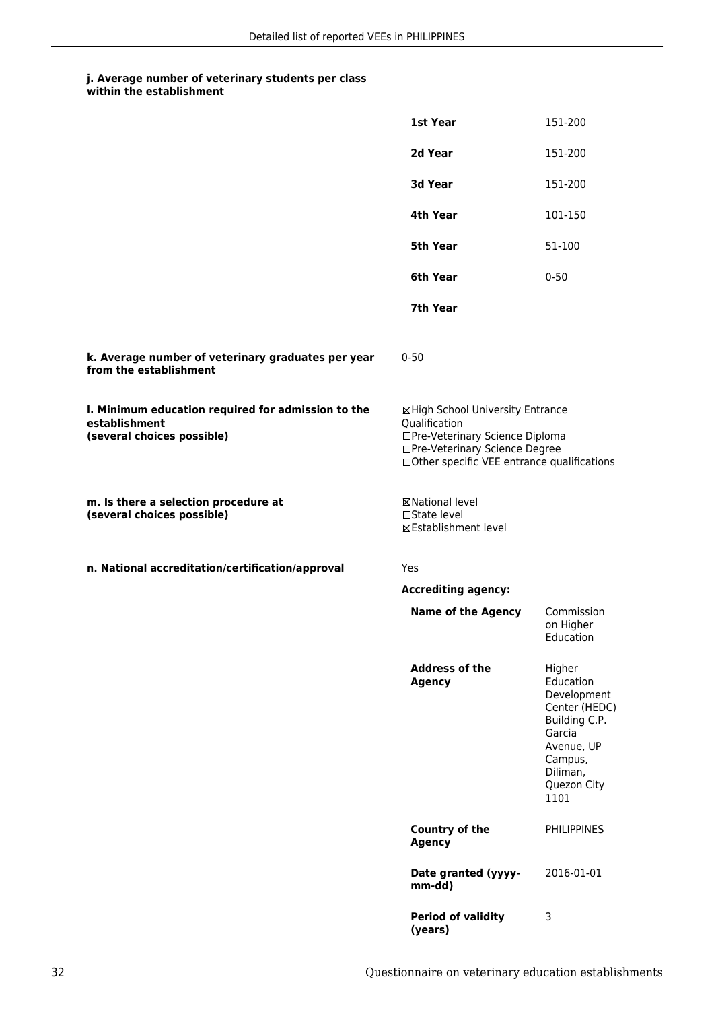|                                                                                                   | 1st Year                                                                                                                                                              | 151-200                                                                                                                                    |
|---------------------------------------------------------------------------------------------------|-----------------------------------------------------------------------------------------------------------------------------------------------------------------------|--------------------------------------------------------------------------------------------------------------------------------------------|
|                                                                                                   | 2d Year                                                                                                                                                               | 151-200                                                                                                                                    |
|                                                                                                   | 3d Year                                                                                                                                                               | 151-200                                                                                                                                    |
|                                                                                                   | 4th Year                                                                                                                                                              | 101-150                                                                                                                                    |
|                                                                                                   | 5th Year                                                                                                                                                              | 51-100                                                                                                                                     |
|                                                                                                   | 6th Year                                                                                                                                                              | $0 - 50$                                                                                                                                   |
|                                                                                                   | 7th Year                                                                                                                                                              |                                                                                                                                            |
| k. Average number of veterinary graduates per year<br>from the establishment                      | $0 - 50$                                                                                                                                                              |                                                                                                                                            |
| I. Minimum education required for admission to the<br>establishment<br>(several choices possible) | ⊠High School University Entrance<br>Qualification<br>□Pre-Veterinary Science Diploma<br>□Pre-Veterinary Science Degree<br>□Other specific VEE entrance qualifications |                                                                                                                                            |
| m. Is there a selection procedure at<br>(several choices possible)                                | ⊠National level<br>$\Box$ State level<br>⊠Establishment level                                                                                                         |                                                                                                                                            |
| n. National accreditation/certification/approval                                                  | Yes                                                                                                                                                                   |                                                                                                                                            |
|                                                                                                   | <b>Accrediting agency:</b>                                                                                                                                            |                                                                                                                                            |
|                                                                                                   | <b>Name of the Agency</b>                                                                                                                                             | Commission<br>on Higher<br>Education                                                                                                       |
|                                                                                                   | <b>Address of the</b><br><b>Agency</b>                                                                                                                                | Higher<br>Education<br>Development<br>Center (HEDC)<br>Building C.P.<br>Garcia<br>Avenue, UP<br>Campus,<br>Diliman,<br>Quezon City<br>1101 |
|                                                                                                   | Country of the<br><b>Agency</b>                                                                                                                                       | <b>PHILIPPINES</b>                                                                                                                         |
|                                                                                                   | Date granted (yyyy-<br>mm-dd)                                                                                                                                         | 2016-01-01                                                                                                                                 |
|                                                                                                   | <b>Period of validity</b><br>(years)                                                                                                                                  | 3                                                                                                                                          |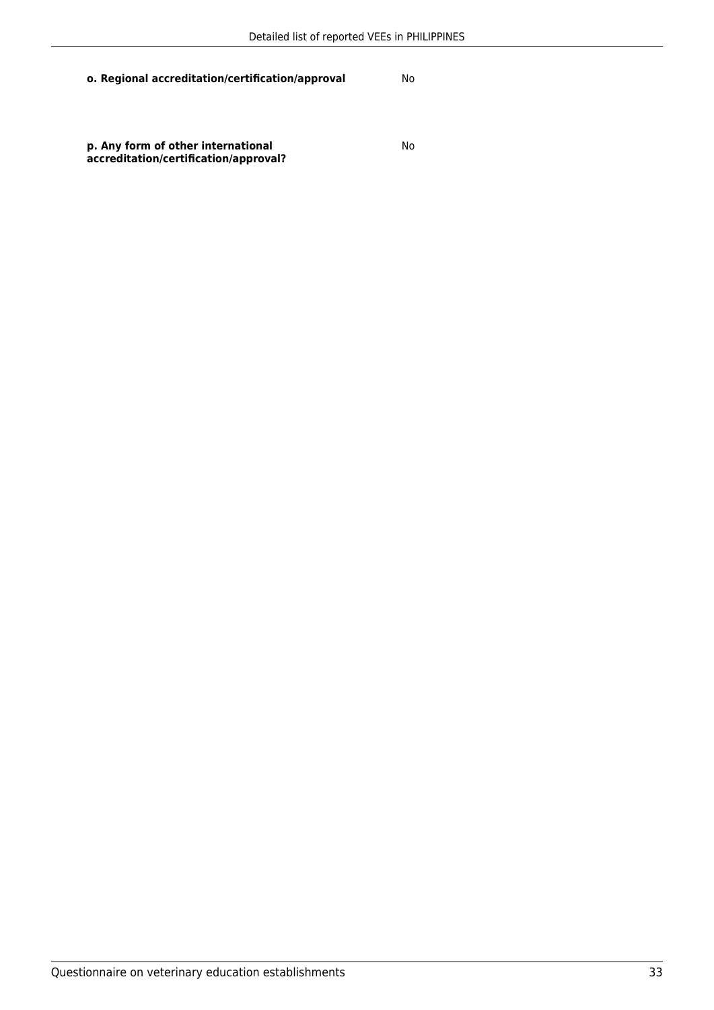**o. Regional accreditation/certification/approval** No

**p. Any form of other international accreditation/certification/approval?**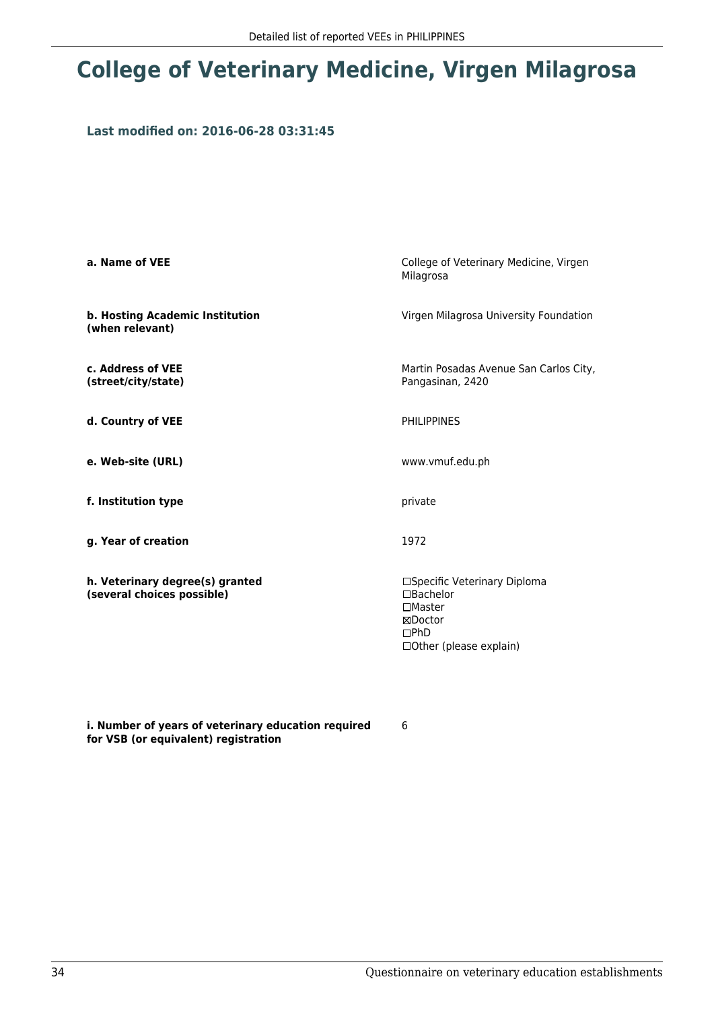## **College of Veterinary Medicine, Virgen Milagrosa**

#### **Last modified on: 2016-06-28 03:31:45**

| a. Name of VEE                                                | College of Veterinary Medicine, Virgen<br>Milagrosa                                                                   |
|---------------------------------------------------------------|-----------------------------------------------------------------------------------------------------------------------|
| b. Hosting Academic Institution<br>(when relevant)            | Virgen Milagrosa University Foundation                                                                                |
| c. Address of VEE<br>(street/city/state)                      | Martin Posadas Avenue San Carlos City,<br>Pangasinan, 2420                                                            |
| d. Country of VEE                                             | <b>PHILIPPINES</b>                                                                                                    |
| e. Web-site (URL)                                             | www.vmuf.edu.ph                                                                                                       |
| f. Institution type                                           | private                                                                                                               |
| g. Year of creation                                           | 1972                                                                                                                  |
| h. Veterinary degree(s) granted<br>(several choices possible) | □Specific Veterinary Diploma<br>$\Box$ Bachelor<br>$\Box$ Master<br>⊠Doctor<br>$\Box$ PhD<br>□ Other (please explain) |

**i. Number of years of veterinary education required for VSB (or equivalent) registration**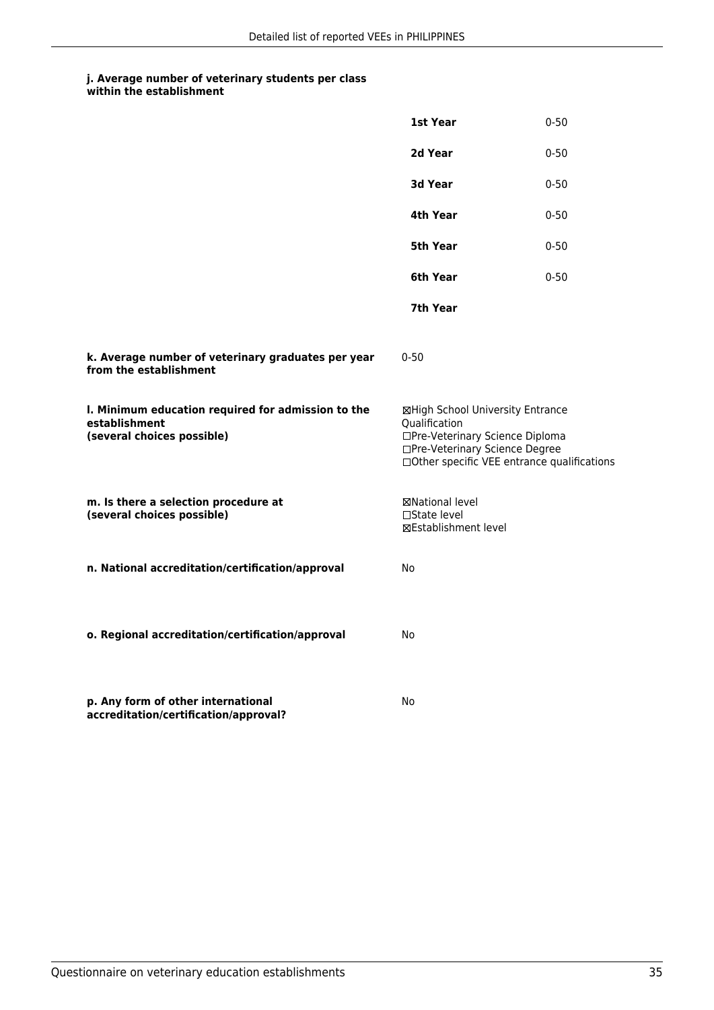| within the establishment |
|--------------------------|
|                          |

|                                                                                                   | 1st Year                                                                                                                                                              | $0 - 50$ |
|---------------------------------------------------------------------------------------------------|-----------------------------------------------------------------------------------------------------------------------------------------------------------------------|----------|
|                                                                                                   | 2d Year                                                                                                                                                               | $0 - 50$ |
|                                                                                                   | 3d Year                                                                                                                                                               | $0 - 50$ |
|                                                                                                   | 4th Year                                                                                                                                                              | $0 - 50$ |
|                                                                                                   | 5th Year                                                                                                                                                              | $0 - 50$ |
|                                                                                                   | 6th Year                                                                                                                                                              | $0 - 50$ |
|                                                                                                   | 7th Year                                                                                                                                                              |          |
| k. Average number of veterinary graduates per year<br>from the establishment                      | $0 - 50$                                                                                                                                                              |          |
| I. Minimum education required for admission to the<br>establishment<br>(several choices possible) | ⊠High School University Entrance<br>Qualification<br>□Pre-Veterinary Science Diploma<br>□Pre-Veterinary Science Degree<br>□Other specific VEE entrance qualifications |          |
| m. Is there a selection procedure at<br>(several choices possible)                                | ⊠National level<br>$\Box$ State level<br><b>⊠Establishment level</b>                                                                                                  |          |
| n. National accreditation/certification/approval                                                  | No                                                                                                                                                                    |          |
| o. Regional accreditation/certification/approval                                                  | No                                                                                                                                                                    |          |
| p. Any form of other international<br>accreditation/certification/approval?                       | No                                                                                                                                                                    |          |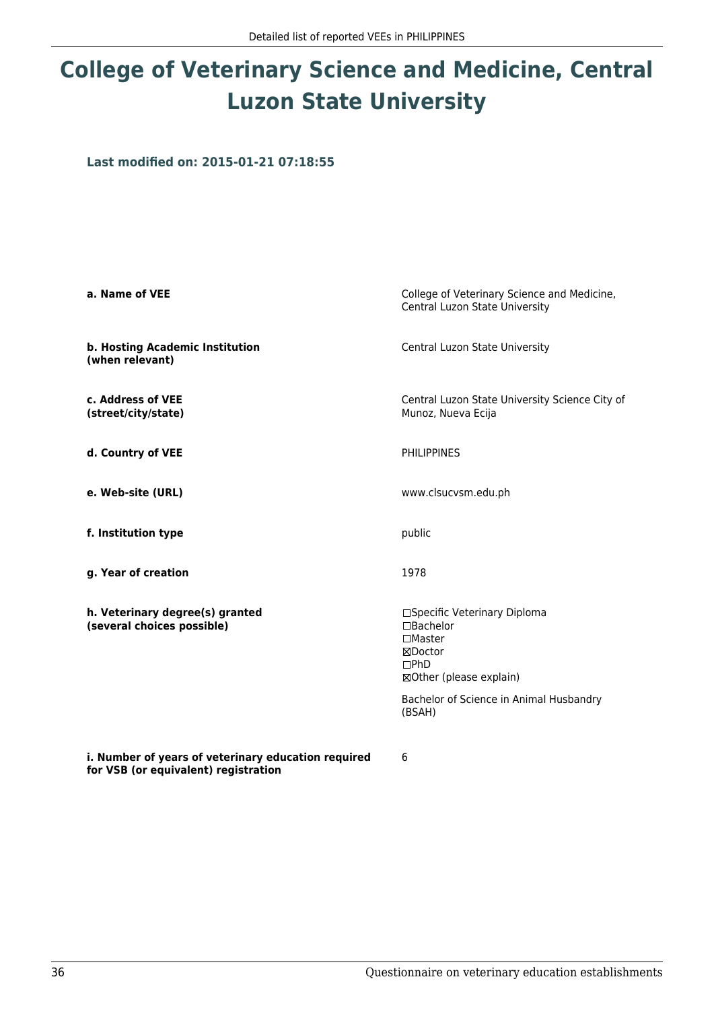# **College of Veterinary Science and Medicine, Central Luzon State University**

**Last modified on: 2015-01-21 07:18:55**

| a. Name of VEE                                                | College of Veterinary Science and Medicine,<br>Central Luzon State University                                  |
|---------------------------------------------------------------|----------------------------------------------------------------------------------------------------------------|
| b. Hosting Academic Institution<br>(when relevant)            | Central Luzon State University                                                                                 |
| c. Address of VEE<br>(street/city/state)                      | Central Luzon State University Science City of<br>Munoz, Nueva Ecija                                           |
| d. Country of VEE                                             | <b>PHILIPPINES</b>                                                                                             |
| e. Web-site (URL)                                             | www.clsucvsm.edu.ph                                                                                            |
| f. Institution type                                           | public                                                                                                         |
| g. Year of creation                                           | 1978                                                                                                           |
| h. Veterinary degree(s) granted<br>(several choices possible) | □Specific Veterinary Diploma<br>$\Box$ Bachelor<br>□Master<br>⊠Doctor<br>$\Box$ PhD<br>⊠Other (please explain) |
|                                                               | Bachelor of Science in Animal Husbandry<br>(BSAH)                                                              |
| i. Number of years of veterinary education required           | 6                                                                                                              |

**for VSB (or equivalent) registration**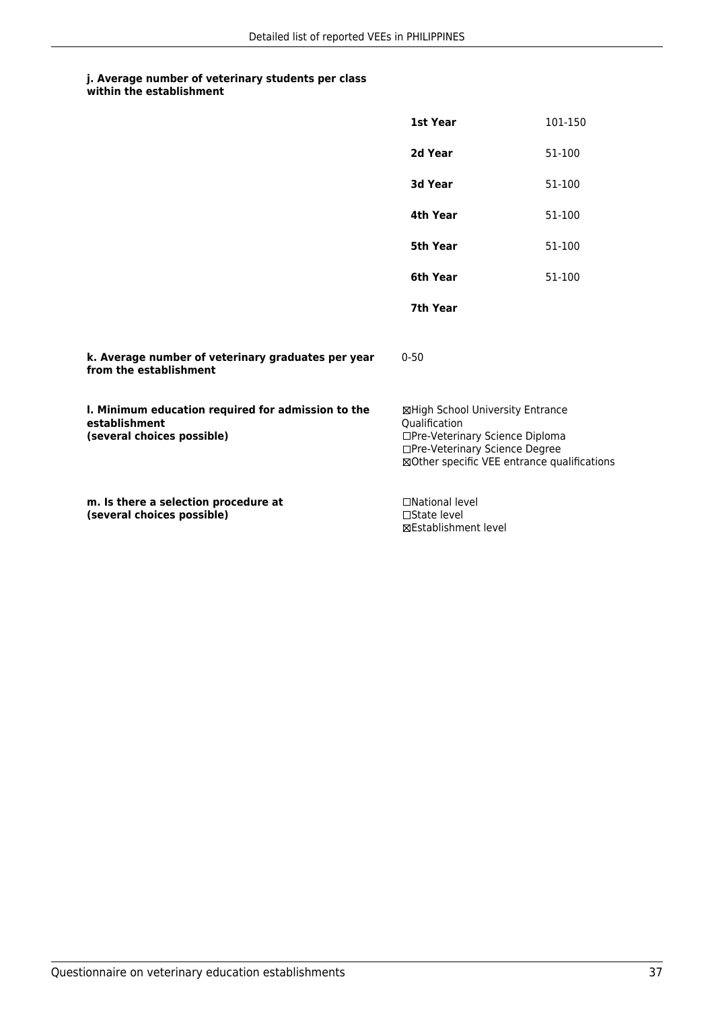| within the establishment |
|--------------------------|
|                          |

|                                                                                                   | 1st Year                                                                                                                                                              | 101-150 |
|---------------------------------------------------------------------------------------------------|-----------------------------------------------------------------------------------------------------------------------------------------------------------------------|---------|
|                                                                                                   | 2d Year                                                                                                                                                               | 51-100  |
|                                                                                                   | 3d Year                                                                                                                                                               | 51-100  |
|                                                                                                   | 4th Year                                                                                                                                                              | 51-100  |
|                                                                                                   | 5th Year                                                                                                                                                              | 51-100  |
|                                                                                                   | 6th Year                                                                                                                                                              | 51-100  |
|                                                                                                   | 7th Year                                                                                                                                                              |         |
| k. Average number of veterinary graduates per year<br>from the establishment                      | $0 - 50$                                                                                                                                                              |         |
| I. Minimum education required for admission to the<br>establishment<br>(several choices possible) | ⊠High School University Entrance<br>Qualification<br>□Pre-Veterinary Science Diploma<br>□Pre-Veterinary Science Degree<br>⊠Other specific VEE entrance qualifications |         |

**m. Is there a selection procedure at (several choices possible)**

National level  $\square$ State level Establishment level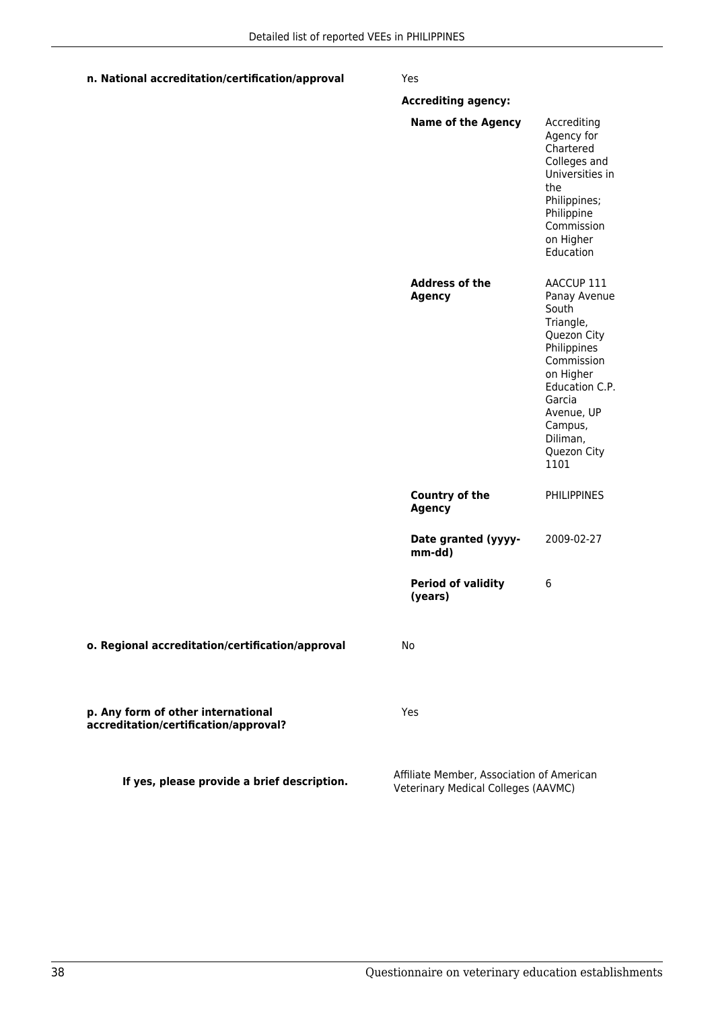| n. National accreditation/certification/approval                            | Yes                                                                              |                                                                                                                                                                                                   |
|-----------------------------------------------------------------------------|----------------------------------------------------------------------------------|---------------------------------------------------------------------------------------------------------------------------------------------------------------------------------------------------|
|                                                                             | <b>Accrediting agency:</b>                                                       |                                                                                                                                                                                                   |
|                                                                             | <b>Name of the Agency</b>                                                        | Accrediting<br>Agency for<br>Chartered<br>Colleges and<br>Universities in<br>the<br>Philippines;<br>Philippine<br>Commission<br>on Higher<br>Education                                            |
|                                                                             | <b>Address of the</b><br><b>Agency</b>                                           | AACCUP 111<br>Panay Avenue<br>South<br>Triangle,<br>Quezon City<br>Philippines<br>Commission<br>on Higher<br>Education C.P.<br>Garcia<br>Avenue, UP<br>Campus,<br>Diliman,<br>Quezon City<br>1101 |
|                                                                             | Country of the<br><b>Agency</b>                                                  | <b>PHILIPPINES</b>                                                                                                                                                                                |
|                                                                             | Date granted (yyyy-<br>mm-dd)                                                    | 2009-02-27                                                                                                                                                                                        |
|                                                                             | <b>Period of validity</b><br>(years)                                             | 6                                                                                                                                                                                                 |
| o. Regional accreditation/certification/approval                            | No                                                                               |                                                                                                                                                                                                   |
| p. Any form of other international<br>accreditation/certification/approval? | Yes                                                                              |                                                                                                                                                                                                   |
| If yes, please provide a brief description.                                 | Affiliate Member, Association of American<br>Veterinary Medical Colleges (AAVMC) |                                                                                                                                                                                                   |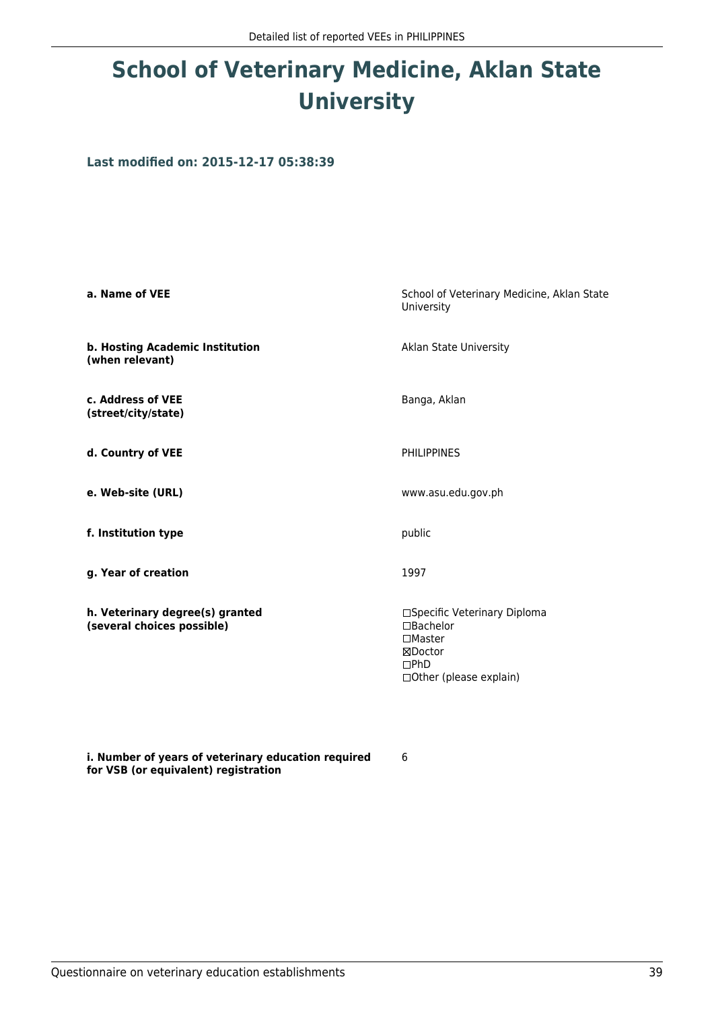## **School of Veterinary Medicine, Aklan State University**

**Last modified on: 2015-12-17 05:38:39**

| a. Name of VEE                                                | School of Veterinary Medicine, Aklan State<br>University                                                              |
|---------------------------------------------------------------|-----------------------------------------------------------------------------------------------------------------------|
| b. Hosting Academic Institution<br>(when relevant)            | Aklan State University                                                                                                |
| c. Address of VEE<br>(street/city/state)                      | Banga, Aklan                                                                                                          |
| d. Country of VEE                                             | <b>PHILIPPINES</b>                                                                                                    |
| e. Web-site (URL)                                             | www.asu.edu.gov.ph                                                                                                    |
| f. Institution type                                           | public                                                                                                                |
| g. Year of creation                                           | 1997                                                                                                                  |
| h. Veterinary degree(s) granted<br>(several choices possible) | □Specific Veterinary Diploma<br>$\square$ Bachelor<br>$\square$ Master<br>⊠Doctor<br>DPhD<br>□ Other (please explain) |

**i. Number of years of veterinary education required for VSB (or equivalent) registration**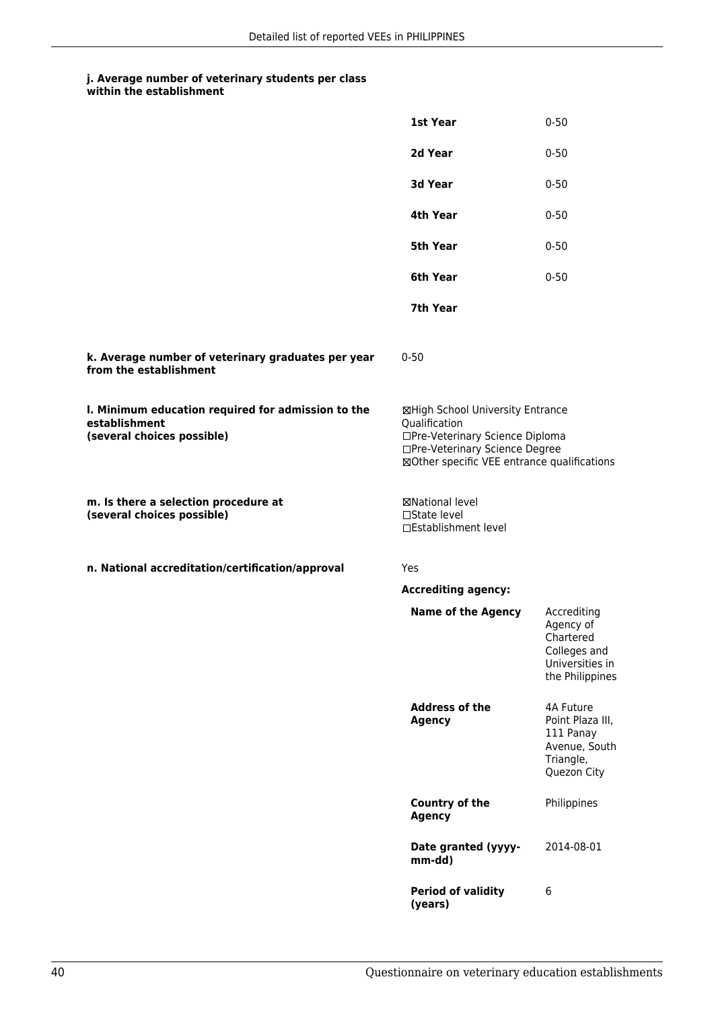|                                                                                                   | 1st Year                                                                                                                                                              | $0 - 50$                                                                                    |
|---------------------------------------------------------------------------------------------------|-----------------------------------------------------------------------------------------------------------------------------------------------------------------------|---------------------------------------------------------------------------------------------|
|                                                                                                   | 2d Year                                                                                                                                                               | $0 - 50$                                                                                    |
|                                                                                                   | 3d Year                                                                                                                                                               | $0 - 50$                                                                                    |
|                                                                                                   | 4th Year                                                                                                                                                              | $0 - 50$                                                                                    |
|                                                                                                   | 5th Year                                                                                                                                                              | $0 - 50$                                                                                    |
|                                                                                                   | 6th Year                                                                                                                                                              | $0 - 50$                                                                                    |
|                                                                                                   | 7th Year                                                                                                                                                              |                                                                                             |
| k. Average number of veterinary graduates per year<br>from the establishment                      | $0 - 50$                                                                                                                                                              |                                                                                             |
| I. Minimum education required for admission to the<br>establishment<br>(several choices possible) | ⊠High School University Entrance<br>Qualification<br>□Pre-Veterinary Science Diploma<br>□Pre-Veterinary Science Degree<br>⊠Other specific VEE entrance qualifications |                                                                                             |
| m. Is there a selection procedure at<br>(several choices possible)                                | ⊠National level<br>$\square$ State level<br>□Establishment level                                                                                                      |                                                                                             |
| n. National accreditation/certification/approval                                                  | <b>Yes</b>                                                                                                                                                            |                                                                                             |
|                                                                                                   | <b>Accrediting agency:</b>                                                                                                                                            |                                                                                             |
|                                                                                                   | <b>Name of the Agency</b>                                                                                                                                             | Accrediting<br>Agency of<br>Chartered<br>Colleges and<br>Universities in<br>the Philippines |
|                                                                                                   | <b>Address of the</b><br><b>Agency</b>                                                                                                                                | 4A Future<br>Point Plaza III,<br>111 Panay<br>Avenue, South<br>Triangle,<br>Quezon City     |
|                                                                                                   | <b>Country of the</b><br><b>Agency</b>                                                                                                                                | Philippines                                                                                 |
|                                                                                                   | Date granted (yyyy-<br>mm-dd)                                                                                                                                         | 2014-08-01                                                                                  |
|                                                                                                   | <b>Period of validity</b><br>(years)                                                                                                                                  | 6                                                                                           |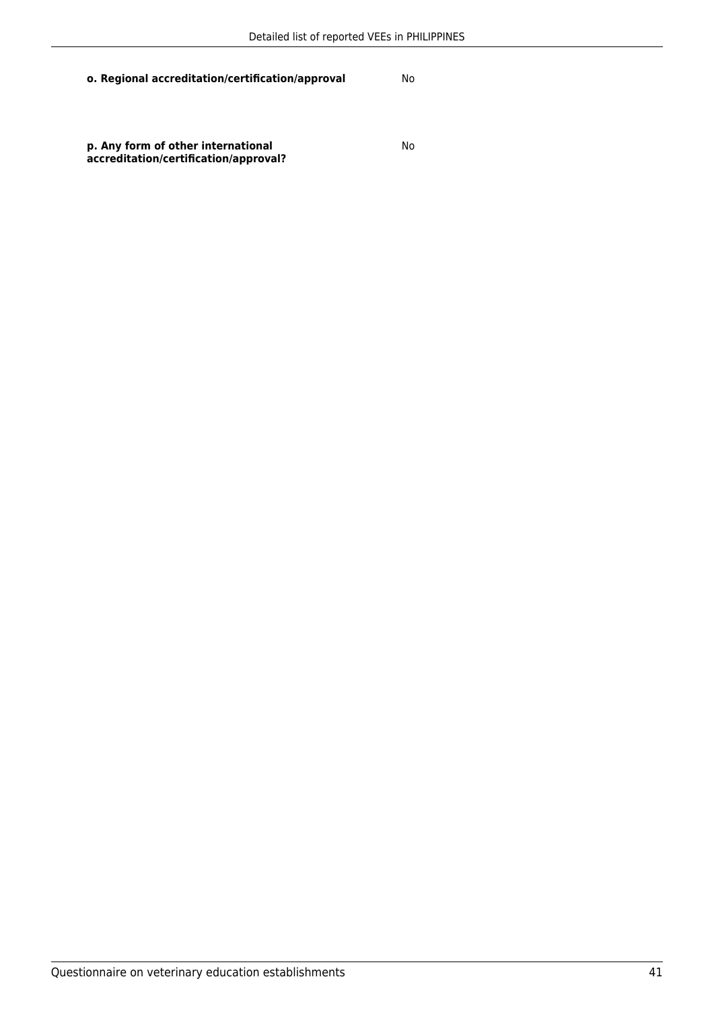**o. Regional accreditation/certification/approval** No

**p. Any form of other international accreditation/certification/approval?**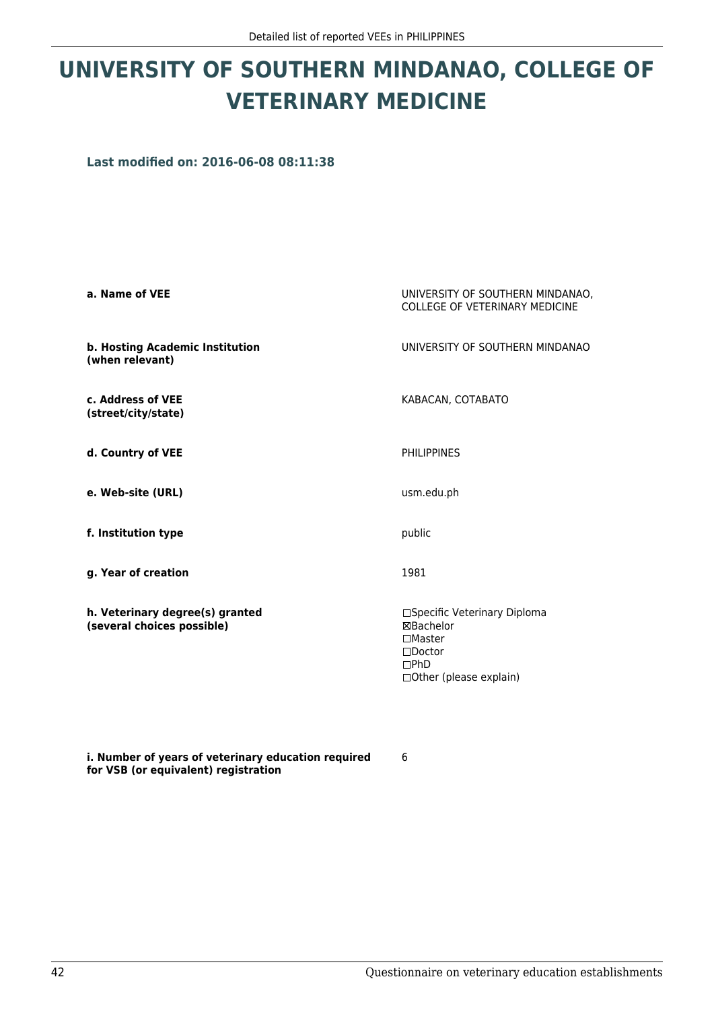## **UNIVERSITY OF SOUTHERN MINDANAO, COLLEGE OF VETERINARY MEDICINE**

**Last modified on: 2016-06-08 08:11:38**

| a. Name of VEE                                                | UNIVERSITY OF SOUTHERN MINDANAO,<br>COLLEGE OF VETERINARY MEDICINE                                                       |
|---------------------------------------------------------------|--------------------------------------------------------------------------------------------------------------------------|
| b. Hosting Academic Institution<br>(when relevant)            | UNIVERSITY OF SOUTHERN MINDANAO                                                                                          |
| c. Address of VEE<br>(street/city/state)                      | KABACAN, COTABATO                                                                                                        |
| d. Country of VEE                                             | PHII IPPINES                                                                                                             |
| e. Web-site (URL)                                             | usm.edu.ph                                                                                                               |
| f. Institution type                                           | public                                                                                                                   |
| g. Year of creation                                           | 1981                                                                                                                     |
| h. Veterinary degree(s) granted<br>(several choices possible) | □Specific Veterinary Diploma<br>⊠Bachelor<br>$\Box$ Master<br>$\square$ Doctor<br>$\Box$ PhD<br>□ Other (please explain) |

**i. Number of years of veterinary education required for VSB (or equivalent) registration**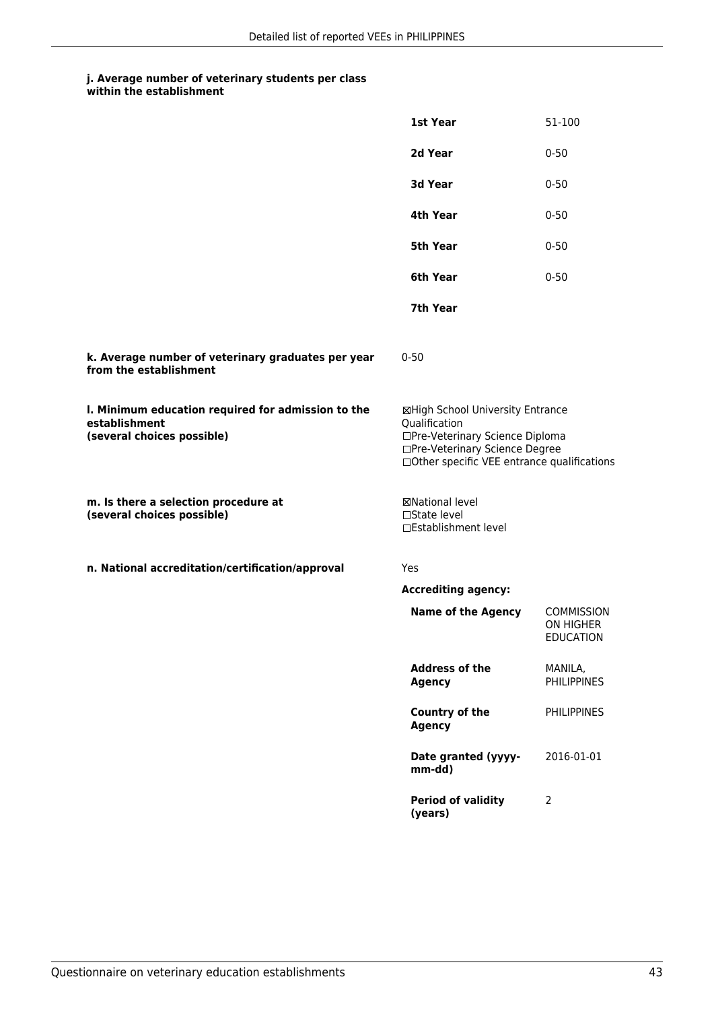| within the establishment |
|--------------------------|
|                          |

|                                                                                                   | 1st Year                                                                                                                                                              | 51-100                                             |
|---------------------------------------------------------------------------------------------------|-----------------------------------------------------------------------------------------------------------------------------------------------------------------------|----------------------------------------------------|
|                                                                                                   | 2d Year                                                                                                                                                               | $0 - 50$                                           |
|                                                                                                   | 3d Year                                                                                                                                                               | $0 - 50$                                           |
|                                                                                                   | 4th Year                                                                                                                                                              | $0 - 50$                                           |
|                                                                                                   | 5th Year                                                                                                                                                              | $0 - 50$                                           |
|                                                                                                   | 6th Year                                                                                                                                                              | $0 - 50$                                           |
|                                                                                                   | 7th Year                                                                                                                                                              |                                                    |
| k. Average number of veterinary graduates per year<br>from the establishment                      | $0 - 50$                                                                                                                                                              |                                                    |
| I. Minimum education required for admission to the<br>establishment<br>(several choices possible) | ⊠High School University Entrance<br>Qualification<br>□Pre-Veterinary Science Diploma<br>□Pre-Veterinary Science Degree<br>□Other specific VEE entrance qualifications |                                                    |
| m. Is there a selection procedure at<br>(several choices possible)                                | ⊠National level<br>$\Box$ State level<br>□Establishment level                                                                                                         |                                                    |
| n. National accreditation/certification/approval                                                  | Yes                                                                                                                                                                   |                                                    |
|                                                                                                   | <b>Accrediting agency:</b>                                                                                                                                            |                                                    |
|                                                                                                   | <b>Name of the Agency</b>                                                                                                                                             | <b>COMMISSION</b><br>ON HIGHER<br><b>EDUCATION</b> |
|                                                                                                   | <b>Address of the</b><br><b>Agency</b>                                                                                                                                | MANILA,<br><b>PHILIPPINES</b>                      |
|                                                                                                   | <b>Country of the</b><br><b>Agency</b>                                                                                                                                | <b>PHILIPPINES</b>                                 |
|                                                                                                   | Date granted (yyyy-<br>mm-dd)                                                                                                                                         | 2016-01-01                                         |
|                                                                                                   | <b>Period of validity</b><br>(years)                                                                                                                                  | 2                                                  |